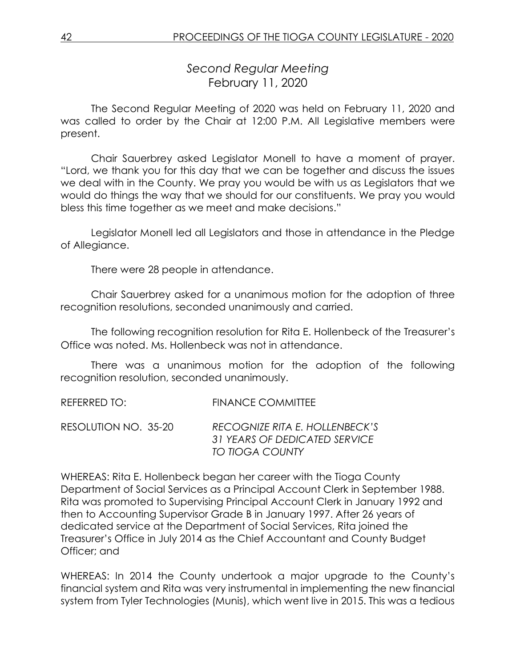*Second Regular Meeting* February 11, 2020

The Second Regular Meeting of 2020 was held on February 11, 2020 and was called to order by the Chair at 12:00 P.M. All Legislative members were present.

Chair Sauerbrey asked Legislator Monell to have a moment of prayer. "Lord, we thank you for this day that we can be together and discuss the issues we deal with in the County. We pray you would be with us as Legislators that we would do things the way that we should for our constituents. We pray you would bless this time together as we meet and make decisions."

Legislator Monell led all Legislators and those in attendance in the Pledge of Allegiance.

There were 28 people in attendance.

Chair Sauerbrey asked for a unanimous motion for the adoption of three recognition resolutions, seconded unanimously and carried.

The following recognition resolution for Rita E. Hollenbeck of the Treasurer's Office was noted. Ms. Hollenbeck was not in attendance.

There was a unanimous motion for the adoption of the following recognition resolution, seconded unanimously.

REFERRED TO: FINANCE COMMITTEE

RESOLUTION NO. 35-20 *RECOGNIZE RITA E. HOLLENBECK'S 31 YEARS OF DEDICATED SERVICE TO TIOGA COUNTY*

WHEREAS: Rita E. Hollenbeck began her career with the Tioga County Department of Social Services as a Principal Account Clerk in September 1988. Rita was promoted to Supervising Principal Account Clerk in January 1992 and then to Accounting Supervisor Grade B in January 1997. After 26 years of dedicated service at the Department of Social Services, Rita joined the Treasurer's Office in July 2014 as the Chief Accountant and County Budget Officer; and

WHEREAS: In 2014 the County undertook a major upgrade to the County's financial system and Rita was very instrumental in implementing the new financial system from Tyler Technologies (Munis), which went live in 2015. This was a tedious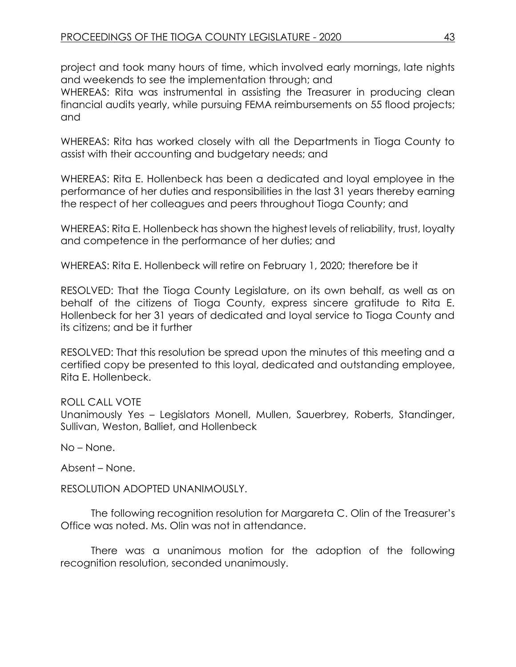project and took many hours of time, which involved early mornings, late nights and weekends to see the implementation through; and

WHEREAS: Rita was instrumental in assisting the Treasurer in producing clean financial audits yearly, while pursuing FEMA reimbursements on 55 flood projects; and

WHEREAS: Rita has worked closely with all the Departments in Tioga County to assist with their accounting and budgetary needs; and

WHEREAS: Rita E. Hollenbeck has been a dedicated and loyal employee in the performance of her duties and responsibilities in the last 31 years thereby earning the respect of her colleagues and peers throughout Tioga County; and

WHEREAS: Rita E. Hollenbeck has shown the highest levels of reliability, trust, loyalty and competence in the performance of her duties; and

WHEREAS: Rita E. Hollenbeck will retire on February 1, 2020; therefore be it

RESOLVED: That the Tioga County Legislature, on its own behalf, as well as on behalf of the citizens of Tioga County, express sincere gratitude to Rita E. Hollenbeck for her 31 years of dedicated and loyal service to Tioga County and its citizens; and be it further

RESOLVED: That this resolution be spread upon the minutes of this meeting and a certified copy be presented to this loyal, dedicated and outstanding employee, Rita E. Hollenbeck.

### ROLL CALL VOTE

Unanimously Yes – Legislators Monell, Mullen, Sauerbrey, Roberts, Standinger, Sullivan, Weston, Balliet, and Hollenbeck

No – None.

Absent – None.

RESOLUTION ADOPTED UNANIMOUSLY.

The following recognition resolution for Margareta C. Olin of the Treasurer's Office was noted. Ms. Olin was not in attendance.

There was a unanimous motion for the adoption of the following recognition resolution, seconded unanimously.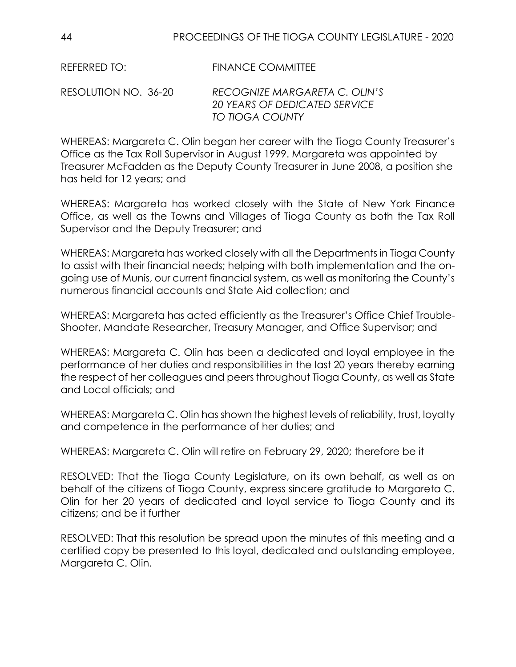REFERRED TO: FINANCE COMMITTEE

RESOLUTION NO. 36-20 *RECOGNIZE MARGARETA C. OLIN'S 20 YEARS OF DEDICATED SERVICE TO TIOGA COUNTY*

WHEREAS: Margareta C. Olin began her career with the Tioga County Treasurer's Office as the Tax Roll Supervisor in August 1999. Margareta was appointed by Treasurer McFadden as the Deputy County Treasurer in June 2008, a position she has held for 12 years; and

WHEREAS: Margareta has worked closely with the State of New York Finance Office, as well as the Towns and Villages of Tioga County as both the Tax Roll Supervisor and the Deputy Treasurer; and

WHEREAS: Margareta has worked closely with all the Departments in Tioga County to assist with their financial needs; helping with both implementation and the ongoing use of Munis, our current financial system, as well as monitoring the County's numerous financial accounts and State Aid collection; and

WHEREAS: Margareta has acted efficiently as the Treasurer's Office Chief Trouble-Shooter, Mandate Researcher, Treasury Manager, and Office Supervisor; and

WHEREAS: Margareta C. Olin has been a dedicated and loyal employee in the performance of her duties and responsibilities in the last 20 years thereby earning the respect of her colleagues and peers throughout Tioga County, as well as State and Local officials; and

WHEREAS: Margareta C. Olin has shown the highest levels of reliability, trust, loyalty and competence in the performance of her duties; and

WHEREAS: Margareta C. Olin will retire on February 29, 2020; therefore be it

RESOLVED: That the Tioga County Legislature, on its own behalf, as well as on behalf of the citizens of Tioga County, express sincere gratitude to Margareta C. Olin for her 20 years of dedicated and loyal service to Tioga County and its citizens; and be it further

RESOLVED: That this resolution be spread upon the minutes of this meeting and a certified copy be presented to this loyal, dedicated and outstanding employee, Margareta C. Olin.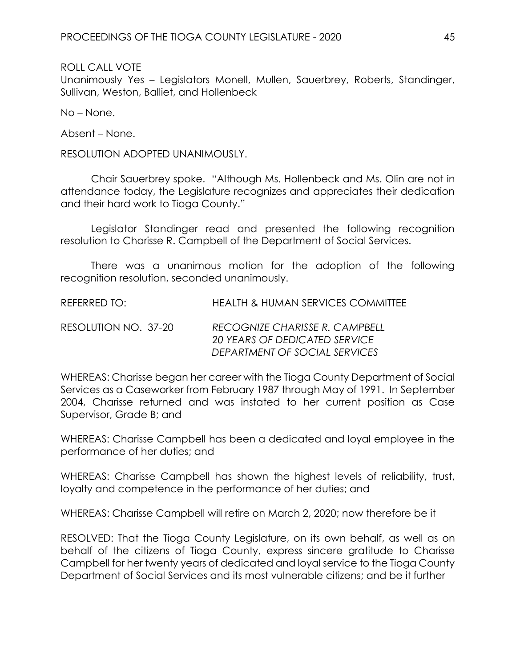ROLL CALL VOTE

Unanimously Yes – Legislators Monell, Mullen, Sauerbrey, Roberts, Standinger, Sullivan, Weston, Balliet, and Hollenbeck

No – None.

Absent – None.

RESOLUTION ADOPTED UNANIMOUSLY.

Chair Sauerbrey spoke. "Although Ms. Hollenbeck and Ms. Olin are not in attendance today, the Legislature recognizes and appreciates their dedication and their hard work to Tioga County."

Legislator Standinger read and presented the following recognition resolution to Charisse R. Campbell of the Department of Social Services.

There was a unanimous motion for the adoption of the following recognition resolution, seconded unanimously.

REFERRED TO: HEALTH & HUMAN SERVICES COMMITTEE

RESOLUTION NO. 37-20 *RECOGNIZE CHARISSE R. CAMPBELL 20 YEARS OF DEDICATED SERVICE DEPARTMENT OF SOCIAL SERVICES*

WHEREAS: Charisse began her career with the Tioga County Department of Social Services as a Caseworker from February 1987 through May of 1991. In September 2004, Charisse returned and was instated to her current position as Case Supervisor, Grade B; and

WHEREAS: Charisse Campbell has been a dedicated and loyal employee in the performance of her duties; and

WHEREAS: Charisse Campbell has shown the highest levels of reliability, trust, loyalty and competence in the performance of her duties; and

WHEREAS: Charisse Campbell will retire on March 2, 2020; now therefore be it

RESOLVED: That the Tioga County Legislature, on its own behalf, as well as on behalf of the citizens of Tioga County, express sincere gratitude to Charisse Campbell for her twenty years of dedicated and loyal service to the Tioga County Department of Social Services and its most vulnerable citizens; and be it further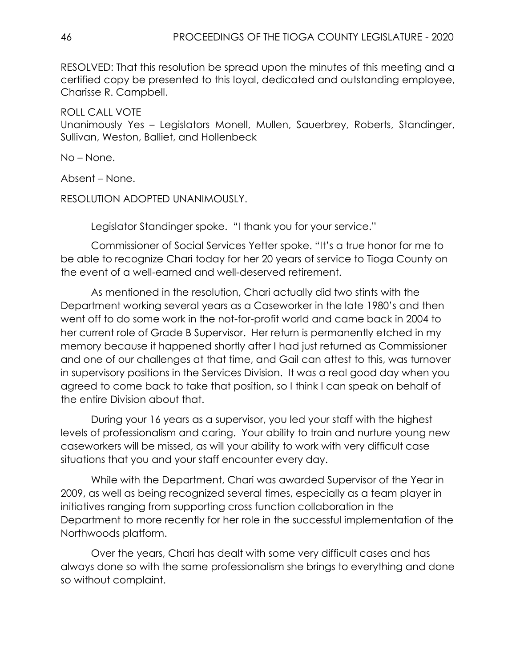RESOLVED: That this resolution be spread upon the minutes of this meeting and a certified copy be presented to this loyal, dedicated and outstanding employee, Charisse R. Campbell.

ROLL CALL VOTE Unanimously Yes – Legislators Monell, Mullen, Sauerbrey, Roberts, Standinger, Sullivan, Weston, Balliet, and Hollenbeck

No – None.

Absent – None.

RESOLUTION ADOPTED UNANIMOUSLY.

Legislator Standinger spoke. "I thank you for your service."

Commissioner of Social Services Yetter spoke. "It's a true honor for me to be able to recognize Chari today for her 20 years of service to Tioga County on the event of a well-earned and well-deserved retirement.

As mentioned in the resolution, Chari actually did two stints with the Department working several years as a Caseworker in the late 1980's and then went off to do some work in the not-for-profit world and came back in 2004 to her current role of Grade B Supervisor. Her return is permanently etched in my memory because it happened shortly after I had just returned as Commissioner and one of our challenges at that time, and Gail can attest to this, was turnover in supervisory positions in the Services Division. It was a real good day when you agreed to come back to take that position, so I think I can speak on behalf of the entire Division about that.

During your 16 years as a supervisor, you led your staff with the highest levels of professionalism and caring. Your ability to train and nurture young new caseworkers will be missed, as will your ability to work with very difficult case situations that you and your staff encounter every day.

While with the Department, Chari was awarded Supervisor of the Year in 2009, as well as being recognized several times, especially as a team player in initiatives ranging from supporting cross function collaboration in the Department to more recently for her role in the successful implementation of the Northwoods platform.

Over the years, Chari has dealt with some very difficult cases and has always done so with the same professionalism she brings to everything and done so without complaint.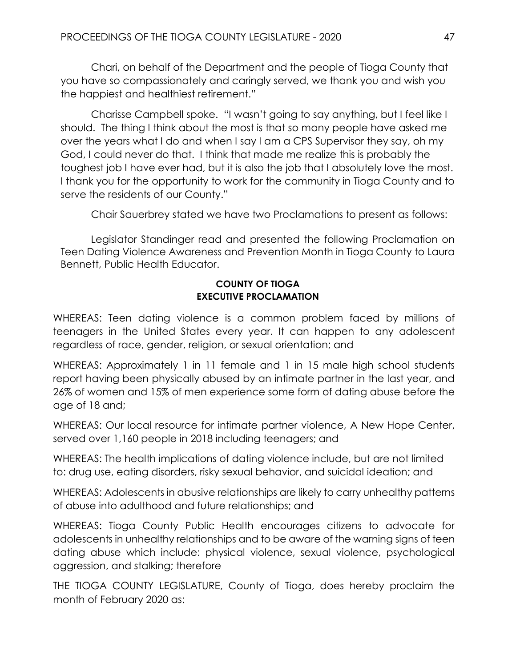Chari, on behalf of the Department and the people of Tioga County that you have so compassionately and caringly served, we thank you and wish you the happiest and healthiest retirement."

Charisse Campbell spoke. "I wasn't going to say anything, but I feel like I should. The thing I think about the most is that so many people have asked me over the years what I do and when I say I am a CPS Supervisor they say, oh my God, I could never do that. I think that made me realize this is probably the toughest job I have ever had, but it is also the job that I absolutely love the most. I thank you for the opportunity to work for the community in Tioga County and to serve the residents of our County."

Chair Sauerbrey stated we have two Proclamations to present as follows:

Legislator Standinger read and presented the following Proclamation on Teen Dating Violence Awareness and Prevention Month in Tioga County to Laura Bennett, Public Health Educator.

# **COUNTY OF TIOGA EXECUTIVE PROCLAMATION**

WHEREAS: Teen dating violence is a common problem faced by millions of teenagers in the United States every year. It can happen to any adolescent regardless of race, gender, religion, or sexual orientation; and

WHEREAS: Approximately 1 in 11 female and 1 in 15 male high school students report having been physically abused by an intimate partner in the last year, and 26% of women and 15% of men experience some form of dating abuse before the age of 18 and;

WHEREAS: Our local resource for intimate partner violence, A New Hope Center, served over 1,160 people in 2018 including teenagers; and

WHEREAS: The health implications of dating violence include, but are not limited to: drug use, eating disorders, risky sexual behavior, and suicidal ideation; and

WHEREAS: Adolescents in abusive relationships are likely to carry unhealthy patterns of abuse into adulthood and future relationships; and

WHEREAS: Tioga County Public Health encourages citizens to advocate for adolescents in unhealthy relationships and to be aware of the warning signs of teen dating abuse which include: physical violence, sexual violence, psychological aggression, and stalking; therefore

THE TIOGA COUNTY LEGISLATURE, County of Tioga, does hereby proclaim the month of February 2020 as: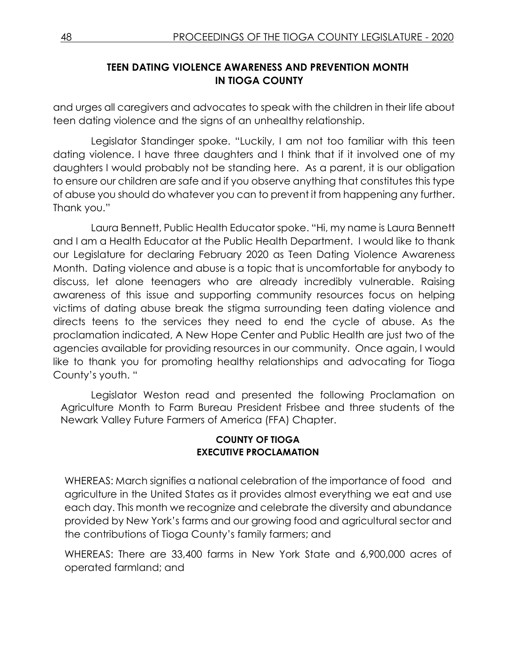# **TEEN DATING VIOLENCE AWARENESS AND PREVENTION MONTH IN TIOGA COUNTY**

and urges all caregivers and advocates to speak with the children in their life about teen dating violence and the signs of an unhealthy relationship.

Legislator Standinger spoke. "Luckily, I am not too familiar with this teen dating violence. I have three daughters and I think that if it involved one of my daughters I would probably not be standing here. As a parent, it is our obligation to ensure our children are safe and if you observe anything that constitutes this type of abuse you should do whatever you can to prevent it from happening any further. Thank you."

Laura Bennett, Public Health Educator spoke. "Hi, my name is Laura Bennett and I am a Health Educator at the Public Health Department. I would like to thank our Legislature for declaring February 2020 as Teen Dating Violence Awareness Month. Dating violence and abuse is a topic that is uncomfortable for anybody to discuss, let alone teenagers who are already incredibly vulnerable. Raising awareness of this issue and supporting community resources focus on helping victims of dating abuse break the stigma surrounding teen dating violence and directs teens to the services they need to end the cycle of abuse. As the proclamation indicated, A New Hope Center and Public Health are just two of the agencies available for providing resources in our community. Once again, I would like to thank you for promoting healthy relationships and advocating for Tioga County's youth. "

Legislator Weston read and presented the following Proclamation on Agriculture Month to Farm Bureau President Frisbee and three students of the Newark Valley Future Farmers of America (FFA) Chapter.

### **COUNTY OF TIOGA EXECUTIVE PROCLAMATION**

WHEREAS: March signifies a national celebration of the importance of food and agriculture in the United States as it provides almost everything we eat and use each day. This month we recognize and celebrate the diversity and abundance provided by New York's farms and our growing food and agricultural sector and the contributions of Tioga County's family farmers; and

WHEREAS: There are 33,400 farms in New York State and 6,900,000 acres of operated farmland; and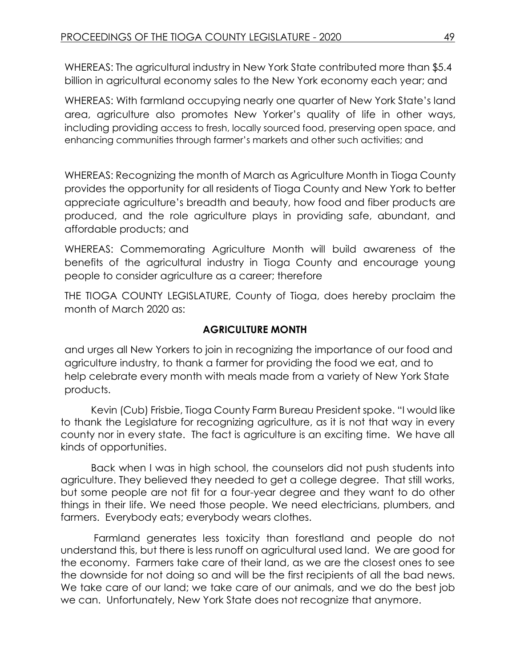WHEREAS: The agricultural industry in New York State contributed more than \$5.4 billion in agricultural economy sales to the New York economy each year; and

WHEREAS: With farmland occupying nearly one quarter of New York State's land area, agriculture also promotes New Yorker's quality of life in other ways, including providing access to fresh, locally sourced food, preserving open space, and enhancing communities through farmer's markets and other such activities; and

WHEREAS: Recognizing the month of March as Agriculture Month in Tioga County provides the opportunity for all residents of Tioga County and New York to better appreciate agriculture's breadth and beauty, how food and fiber products are produced, and the role agriculture plays in providing safe, abundant, and affordable products; and

WHEREAS: Commemorating Agriculture Month will build awareness of the benefits of the agricultural industry in Tioga County and encourage young people to consider agriculture as a career; therefore

THE TIOGA COUNTY LEGISLATURE, County of Tioga, does hereby proclaim the month of March 2020 as:

# **AGRICULTURE MONTH**

and urges all New Yorkers to join in recognizing the importance of our food and agriculture industry, to thank a farmer for providing the food we eat, and to help celebrate every month with meals made from a variety of New York State products.

Kevin (Cub) Frisbie, Tioga County Farm Bureau President spoke. "I would like to thank the Legislature for recognizing agriculture, as it is not that way in every county nor in every state. The fact is agriculture is an exciting time. We have all kinds of opportunities.

Back when I was in high school, the counselors did not push students into agriculture. They believed they needed to get a college degree. That still works, but some people are not fit for a four-year degree and they want to do other things in their life. We need those people. We need electricians, plumbers, and farmers. Everybody eats; everybody wears clothes.

Farmland generates less toxicity than forestland and people do not understand this, but there is less runoff on agricultural used land. We are good for the economy. Farmers take care of their land, as we are the closest ones to see the downside for not doing so and will be the first recipients of all the bad news. We take care of our land; we take care of our animals, and we do the best job we can. Unfortunately, New York State does not recognize that anymore.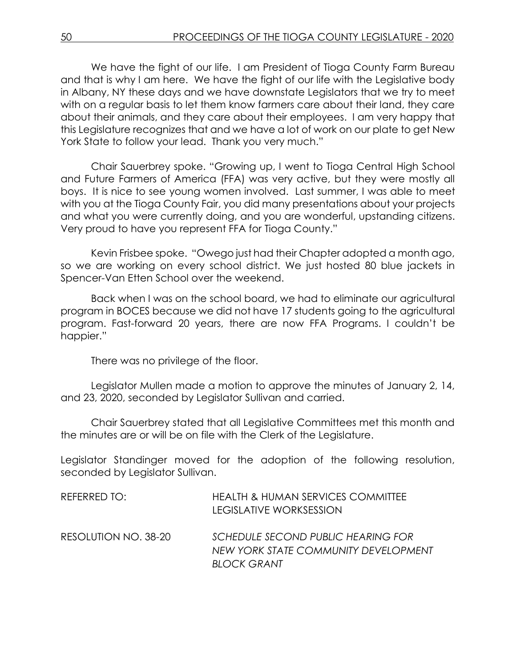We have the fight of our life. I am President of Tioga County Farm Bureau and that is why I am here. We have the fight of our life with the Legislative body in Albany, NY these days and we have downstate Legislators that we try to meet with on a regular basis to let them know farmers care about their land, they care about their animals, and they care about their employees. I am very happy that this Legislature recognizes that and we have a lot of work on our plate to get New York State to follow your lead. Thank you very much."

Chair Sauerbrey spoke. "Growing up, I went to Tioga Central High School and Future Farmers of America (FFA) was very active, but they were mostly all boys. It is nice to see young women involved. Last summer, I was able to meet with you at the Tioga County Fair, you did many presentations about your projects and what you were currently doing, and you are wonderful, upstanding citizens. Very proud to have you represent FFA for Tioga County."

Kevin Frisbee spoke. "Owego just had their Chapter adopted a month ago, so we are working on every school district. We just hosted 80 blue jackets in Spencer-Van Etten School over the weekend.

Back when I was on the school board, we had to eliminate our agricultural program in BOCES because we did not have 17 students going to the agricultural program. Fast-forward 20 years, there are now FFA Programs. I couldn't be happier."

There was no privilege of the floor.

Legislator Mullen made a motion to approve the minutes of January 2, 14, and 23, 2020, seconded by Legislator Sullivan and carried.

Chair Sauerbrey stated that all Legislative Committees met this month and the minutes are or will be on file with the Clerk of the Legislature.

Legislator Standinger moved for the adoption of the following resolution, seconded by Legislator Sullivan.

| REFERRED TO:         | HEALTH & HUMAN SERVICES COMMITTEE<br>LEGISLATIVE WORKSESSION               |
|----------------------|----------------------------------------------------------------------------|
| RESOLUTION NO. 38-20 | SCHEDULE SECOND PUBLIC HEARING FOR<br>NEW YORK STATE COMMUNITY DEVELOPMENT |
|                      | <b>BLOCK GRANT</b>                                                         |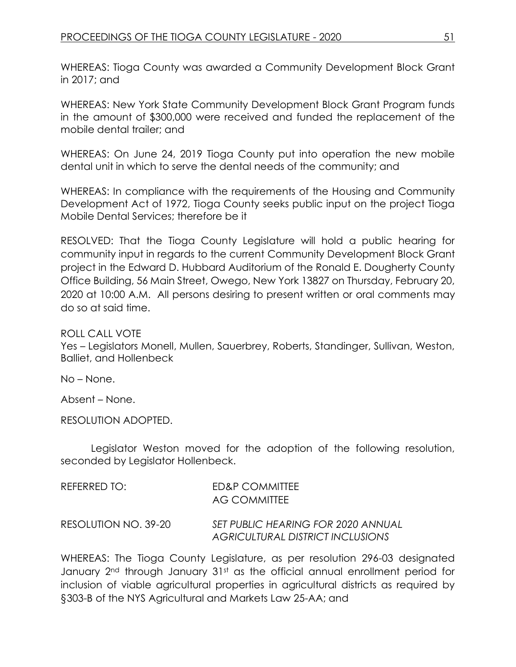WHEREAS: Tioga County was awarded a Community Development Block Grant in 2017; and

WHEREAS: New York State Community Development Block Grant Program funds in the amount of \$300,000 were received and funded the replacement of the mobile dental trailer; and

WHEREAS: On June 24, 2019 Tioga County put into operation the new mobile dental unit in which to serve the dental needs of the community; and

WHEREAS: In compliance with the requirements of the Housing and Community Development Act of 1972, Tioga County seeks public input on the project Tioga Mobile Dental Services; therefore be it

RESOLVED: That the Tioga County Legislature will hold a public hearing for community input in regards to the current Community Development Block Grant project in the Edward D. Hubbard Auditorium of the Ronald E. Dougherty County Office Building, 56 Main Street, Owego, New York 13827 on Thursday, February 20, 2020 at 10:00 A.M. All persons desiring to present written or oral comments may do so at said time.

ROLL CALL VOTE Yes – Legislators Monell, Mullen, Sauerbrey, Roberts, Standinger, Sullivan, Weston, Balliet, and Hollenbeck

No – None.

Absent – None.

RESOLUTION ADOPTED.

Legislator Weston moved for the adoption of the following resolution, seconded by Legislator Hollenbeck.

| REFERRED TO:         | ED&P COMMITTEE<br>AG COMMITTEE                                                |
|----------------------|-------------------------------------------------------------------------------|
| RESOLUTION NO. 39-20 | SET PUBLIC HEARING FOR 2020 ANNUAL<br><b>AGRICULTURAL DISTRICT INCLUSIONS</b> |

WHEREAS: The Tioga County Legislature, as per resolution 296-03 designated January 2<sup>nd</sup> through January 31<sup>st</sup> as the official annual enrollment period for inclusion of viable agricultural properties in agricultural districts as required by §303-B of the NYS Agricultural and Markets Law 25-AA; and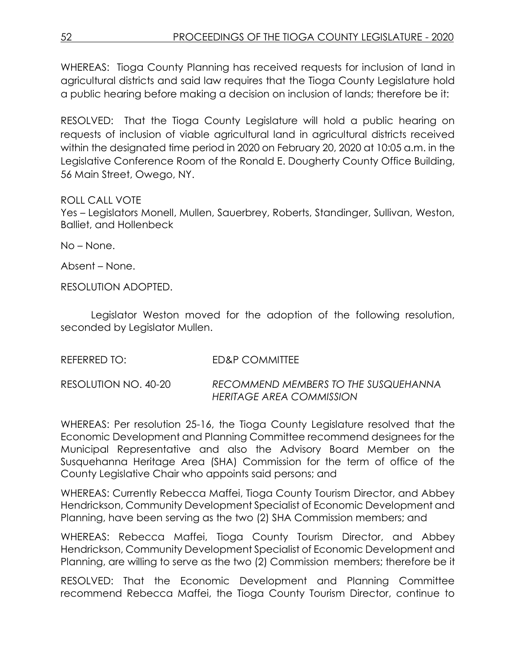WHEREAS: Tioga County Planning has received requests for inclusion of land in agricultural districts and said law requires that the Tioga County Legislature hold a public hearing before making a decision on inclusion of lands; therefore be it:

RESOLVED: That the Tioga County Legislature will hold a public hearing on requests of inclusion of viable agricultural land in agricultural districts received within the designated time period in 2020 on February 20, 2020 at 10:05 a.m. in the Legislative Conference Room of the Ronald E. Dougherty County Office Building, 56 Main Street, Owego, NY.

### ROLL CALL VOTE

Yes – Legislators Monell, Mullen, Sauerbrey, Roberts, Standinger, Sullivan, Weston, Balliet, and Hollenbeck

No – None.

Absent – None.

RESOLUTION ADOPTED.

Legislator Weston moved for the adoption of the following resolution, seconded by Legislator Mullen.

| REFERRED TO:         | ED&P COMMITTEE                                                   |
|----------------------|------------------------------------------------------------------|
| RESOLUTION NO. 40-20 | RECOMMEND MEMBERS TO THE SUSQUEHANNA<br>HERITAGE AREA COMMISSION |

WHEREAS: Per resolution 25-16, the Tioga County Legislature resolved that the Economic Development and Planning Committee recommend designees for the Municipal Representative and also the Advisory Board Member on the Susquehanna Heritage Area (SHA) Commission for the term of office of the County Legislative Chair who appoints said persons; and

WHEREAS: Currently Rebecca Maffei, Tioga County Tourism Director, and Abbey Hendrickson, Community Development Specialist of Economic Development and Planning, have been serving as the two (2) SHA Commission members; and

WHEREAS: Rebecca Maffei, Tioga County Tourism Director, and Abbey Hendrickson, Community Development Specialist of Economic Development and Planning, are willing to serve as the two (2) Commission members; therefore be it

RESOLVED: That the Economic Development and Planning Committee recommend Rebecca Maffei, the Tioga County Tourism Director, continue to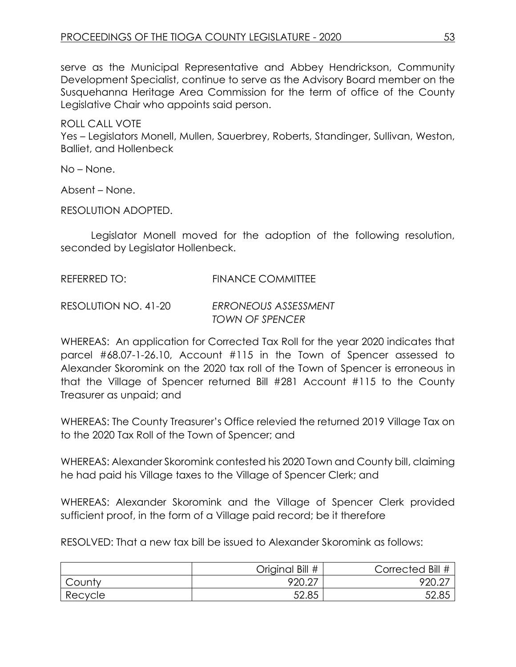serve as the Municipal Representative and Abbey Hendrickson, Community Development Specialist, continue to serve as the Advisory Board member on the Susquehanna Heritage Area Commission for the term of office of the County Legislative Chair who appoints said person.

ROLL CALL VOTE Yes – Legislators Monell, Mullen, Sauerbrey, Roberts, Standinger, Sullivan, Weston, Balliet, and Hollenbeck

No – None.

Absent – None.

RESOLUTION ADOPTED.

Legislator Monell moved for the adoption of the following resolution, seconded by Legislator Hollenbeck.

# REFERRED TO: FINANCE COMMITTEE

RESOLUTION NO. 41-20 *ERRONEOUS ASSESSMENT TOWN OF SPENCER* 

WHEREAS: An application for Corrected Tax Roll for the year 2020 indicates that parcel #68.07-1-26.10, Account #115 in the Town of Spencer assessed to Alexander Skoromink on the 2020 tax roll of the Town of Spencer is erroneous in that the Village of Spencer returned Bill #281 Account #115 to the County Treasurer as unpaid; and

WHEREAS: The County Treasurer's Office relevied the returned 2019 Village Tax on to the 2020 Tax Roll of the Town of Spencer; and

WHEREAS: Alexander Skoromink contested his 2020 Town and County bill, claiming he had paid his Village taxes to the Village of Spencer Clerk; and

WHEREAS: Alexander Skoromink and the Village of Spencer Clerk provided sufficient proof, in the form of a Village paid record; be it therefore

RESOLVED: That a new tax bill be issued to Alexander Skoromink as follows:

|         | Original Bill # | Corrected Bill # |
|---------|-----------------|------------------|
| County  | 920.27          | 920.2.           |
| Recycle | 52.85           | 52.85            |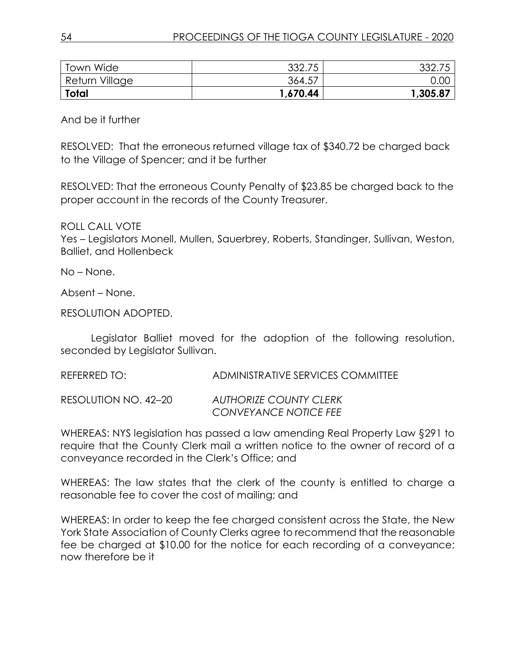| <b>Town Wide</b> | 332.75   | 332.75   |
|------------------|----------|----------|
| Return Village   | 364.57   | 0.00     |
| <b>Total</b>     | 1,670.44 | 1,305.87 |

And be it further

RESOLVED: That the erroneous returned village tax of \$340.72 be charged back to the Village of Spencer; and it be further

RESOLVED: That the erroneous County Penalty of \$23.85 be charged back to the proper account in the records of the County Treasurer.

ROLL CALL VOTE

Yes – Legislators Monell, Mullen, Sauerbrey, Roberts, Standinger, Sullivan, Weston, Balliet, and Hollenbeck

No – None.

Absent – None.

RESOLUTION ADOPTED.

Legislator Balliet moved for the adoption of the following resolution, seconded by Legislator Sullivan.

REFERRED TO: ADMINISTRATIVE SERVICES COMMITTEE

RESOLUTION NO. 42–20 *AUTHORIZE COUNTY CLERK CONVEYANCE NOTICE FEE*

WHEREAS: NYS legislation has passed a law amending Real Property Law §291 to require that the County Clerk mail a written notice to the owner of record of a conveyance recorded in the Clerk's Office; and

WHEREAS: The law states that the clerk of the county is entitled to charge a reasonable fee to cover the cost of mailing; and

WHEREAS: In order to keep the fee charged consistent across the State, the New York State Association of County Clerks agree to recommend that the reasonable fee be charged at \$10.00 for the notice for each recording of a conveyance; now therefore be it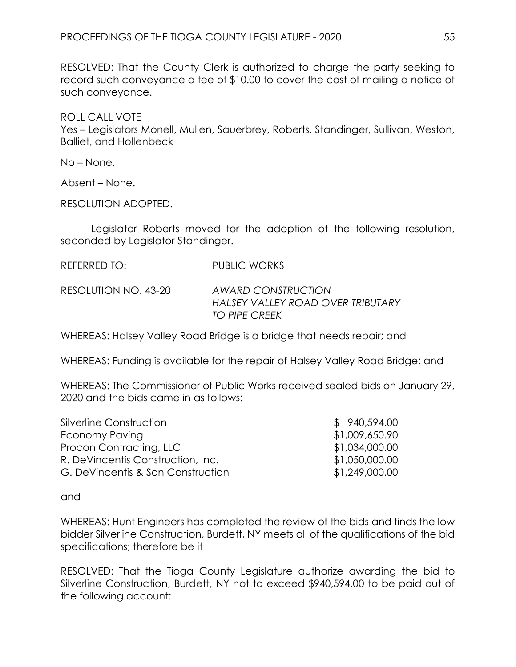RESOLVED: That the County Clerk is authorized to charge the party seeking to record such conveyance a fee of \$10.00 to cover the cost of mailing a notice of such conveyance.

ROLL CALL VOTE Yes – Legislators Monell, Mullen, Sauerbrey, Roberts, Standinger, Sullivan, Weston, Balliet, and Hollenbeck

No – None.

Absent – None.

RESOLUTION ADOPTED.

Legislator Roberts moved for the adoption of the following resolution, seconded by Legislator Standinger.

| REFERRED TO: | <b>PUBLIC WORKS</b> |
|--------------|---------------------|
|              |                     |

RESOLUTION NO. 43-20 *AWARD CONSTRUCTION HALSEY VALLEY ROAD OVER TRIBUTARY TO PIPE CREEK*

WHEREAS: Halsey Valley Road Bridge is a bridge that needs repair; and

WHEREAS: Funding is available for the repair of Halsey Valley Road Bridge; and

WHEREAS: The Commissioner of Public Works received sealed bids on January 29, 2020 and the bids came in as follows:

| Silverline Construction           | \$ 940,594.00  |
|-----------------------------------|----------------|
| Economy Paving                    | \$1,009,650.90 |
| Procon Contracting, LLC           | \$1,034,000.00 |
| R. DeVincentis Construction, Inc. | \$1,050,000.00 |
| G. DeVincentis & Son Construction | \$1,249,000.00 |

and

WHEREAS: Hunt Engineers has completed the review of the bids and finds the low bidder Silverline Construction, Burdett, NY meets all of the qualifications of the bid specifications; therefore be it

RESOLVED: That the Tioga County Legislature authorize awarding the bid to Silverline Construction, Burdett, NY not to exceed \$940,594.00 to be paid out of the following account: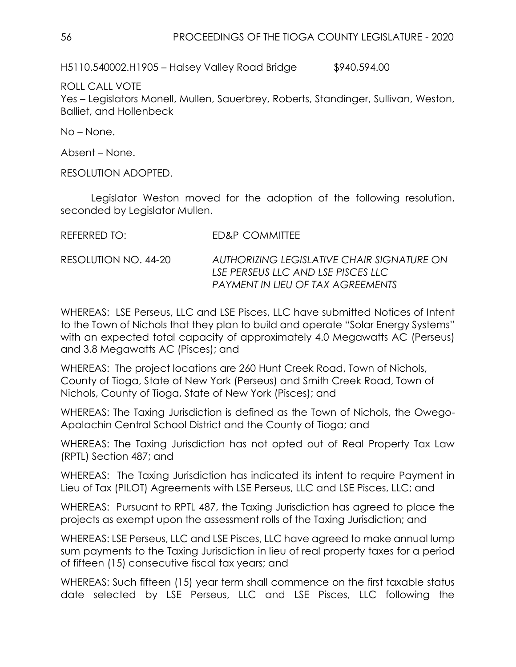H5110.540002.H1905 – Halsey Valley Road Bridge \$940,594.00

ROLL CALL VOTE Yes – Legislators Monell, Mullen, Sauerbrey, Roberts, Standinger, Sullivan, Weston, Balliet, and Hollenbeck

No – None.

Absent – None.

RESOLUTION ADOPTED.

Legislator Weston moved for the adoption of the following resolution, seconded by Legislator Mullen.

| REFERRED TO:         | ED&P COMMITTEE                                                                                                        |
|----------------------|-----------------------------------------------------------------------------------------------------------------------|
| RESOLUTION NO. 44-20 | AUTHORIZING LEGISLATIVE CHAIR SIGNATURE ON<br>LSE PERSEUS LLC AND LSE PISCES LLC<br>PAYMENT IN LIEU OF TAX AGREEMENTS |

WHEREAS: LSE Perseus, LLC and LSE Pisces, LLC have submitted Notices of Intent to the Town of Nichols that they plan to build and operate "Solar Energy Systems" with an expected total capacity of approximately 4.0 Megawatts AC (Perseus) and 3.8 Megawatts AC (Pisces); and

WHEREAS: The project locations are 260 Hunt Creek Road, Town of Nichols, County of Tioga, State of New York (Perseus) and Smith Creek Road, Town of Nichols, County of Tioga, State of New York (Pisces); and

WHEREAS: The Taxing Jurisdiction is defined as the Town of Nichols, the Owego-Apalachin Central School District and the County of Tioga; and

WHEREAS: The Taxing Jurisdiction has not opted out of Real Property Tax Law (RPTL) Section 487; and

WHEREAS: The Taxing Jurisdiction has indicated its intent to require Payment in Lieu of Tax (PILOT) Agreements with LSE Perseus, LLC and LSE Pisces, LLC; and

WHEREAS: Pursuant to RPTL 487, the Taxing Jurisdiction has agreed to place the projects as exempt upon the assessment rolls of the Taxing Jurisdiction; and

WHEREAS: LSE Perseus, LLC and LSE Pisces, LLC have agreed to make annual lump sum payments to the Taxing Jurisdiction in lieu of real property taxes for a period of fifteen (15) consecutive fiscal tax years; and

WHEREAS: Such fifteen (15) year term shall commence on the first taxable status date selected by LSE Perseus, LLC and LSE Pisces, LLC following the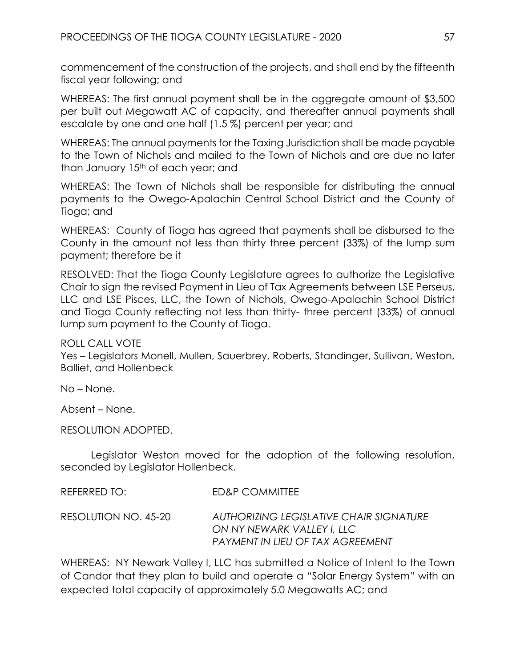commencement of the construction of the projects, and shall end by the fifteenth fiscal year following; and

WHEREAS: The first annual payment shall be in the aggregate amount of \$3,500 per built out Megawatt AC of capacity, and thereafter annual payments shall escalate by one and one half (1.5 %) percent per year; and

WHEREAS: The annual payments for the Taxing Jurisdiction shall be made payable to the Town of Nichols and mailed to the Town of Nichols and are due no later than January 15<sup>th</sup> of each year; and

WHEREAS: The Town of Nichols shall be responsible for distributing the annual payments to the Owego-Apalachin Central School District and the County of Tioga; and

WHEREAS: County of Tioga has agreed that payments shall be disbursed to the County in the amount not less than thirty three percent (33%) of the lump sum payment; therefore be it

RESOLVED: That the Tioga County Legislature agrees to authorize the Legislative Chair to sign the revised Payment in Lieu of Tax Agreements between LSE Perseus, LLC and LSE Pisces, LLC, the Town of Nichols, Owego-Apalachin School District and Tioga County reflecting not less than thirty- three percent (33%) of annual lump sum payment to the County of Tioga.

ROLL CALL VOTE

Yes – Legislators Monell, Mullen, Sauerbrey, Roberts, Standinger, Sullivan, Weston, Balliet, and Hollenbeck

No – None.

Absent – None.

RESOLUTION ADOPTED.

Legislator Weston moved for the adoption of the following resolution, seconded by Legislator Hollenbeck.

| REFERRED TO:         | ED&P COMMITTEE                                                                                                   |
|----------------------|------------------------------------------------------------------------------------------------------------------|
| RESOLUTION NO. 45-20 | AUTHORIZING LEGISLATIVE CHAIR SIGNATURE<br>ON NY NEWARK VALLEY I, LLC<br><b>PAYMENT IN LIEU OF TAX AGREEMENT</b> |

WHEREAS: NY Newark Valley I, LLC has submitted a Notice of Intent to the Town of Candor that they plan to build and operate a "Solar Energy System" with an expected total capacity of approximately 5.0 Megawatts AC; and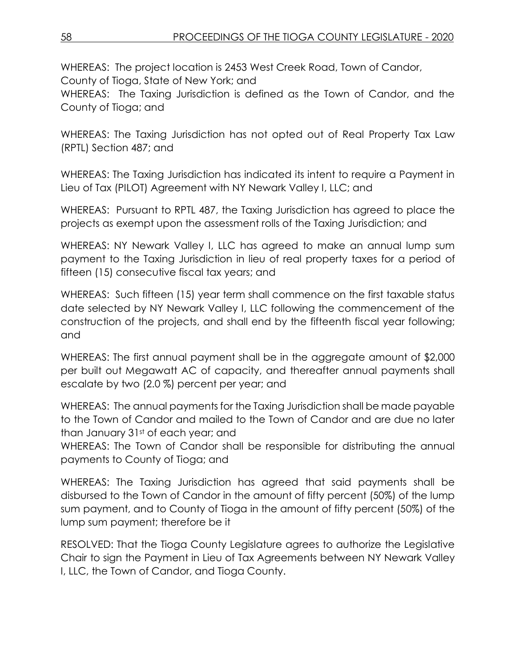WHEREAS: The project location is 2453 West Creek Road, Town of Candor, County of Tioga, State of New York; and

WHEREAS: The Taxing Jurisdiction is defined as the Town of Candor, and the County of Tioga; and

WHEREAS: The Taxing Jurisdiction has not opted out of Real Property Tax Law (RPTL) Section 487; and

WHEREAS: The Taxing Jurisdiction has indicated its intent to require a Payment in Lieu of Tax (PILOT) Agreement with NY Newark Valley I, LLC; and

WHEREAS: Pursuant to RPTL 487, the Taxing Jurisdiction has agreed to place the projects as exempt upon the assessment rolls of the Taxing Jurisdiction; and

WHEREAS: NY Newark Valley I, LLC has agreed to make an annual lump sum payment to the Taxing Jurisdiction in lieu of real property taxes for a period of fifteen (15) consecutive fiscal tax years; and

WHEREAS: Such fifteen (15) year term shall commence on the first taxable status date selected by NY Newark Valley I, LLC following the commencement of the construction of the projects, and shall end by the fifteenth fiscal year following; and

WHEREAS: The first annual payment shall be in the aggregate amount of \$2,000 per built out Megawatt AC of capacity, and thereafter annual payments shall escalate by two (2.0 %) percent per year; and

WHEREAS: The annual payments for the Taxing Jurisdiction shall be made payable to the Town of Candor and mailed to the Town of Candor and are due no later than January 31st of each year; and

WHEREAS: The Town of Candor shall be responsible for distributing the annual payments to County of Tioga; and

WHEREAS: The Taxing Jurisdiction has agreed that said payments shall be disbursed to the Town of Candor in the amount of fifty percent (50%) of the lump sum payment, and to County of Tioga in the amount of fifty percent (50%) of the lump sum payment; therefore be it

RESOLVED: That the Tioga County Legislature agrees to authorize the Legislative Chair to sign the Payment in Lieu of Tax Agreements between NY Newark Valley I, LLC, the Town of Candor, and Tioga County.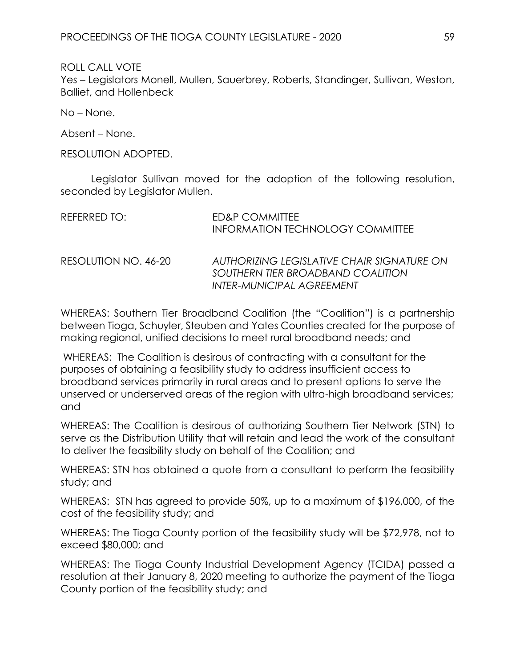ROLL CALL VOTE

Yes – Legislators Monell, Mullen, Sauerbrey, Roberts, Standinger, Sullivan, Weston, Balliet, and Hollenbeck

No – None.

Absent – None.

RESOLUTION ADOPTED.

Legislator Sullivan moved for the adoption of the following resolution, seconded by Legislator Mullen.

| REFERRED TO:         | ED&P COMMITTEE<br><b>INFORMATION TECHNOLOGY COMMITTEE</b>                                                           |
|----------------------|---------------------------------------------------------------------------------------------------------------------|
| RESOLUTION NO. 46-20 | AUTHORIZING LEGISLATIVE CHAIR SIGNATURE ON<br>SOUTHERN TIER BROADBAND COALITION<br><b>INTER-MUNICIPAL AGREEMENT</b> |

WHEREAS: Southern Tier Broadband Coalition (the "Coalition") is a partnership between Tioga, Schuyler, Steuben and Yates Counties created for the purpose of making regional, unified decisions to meet rural broadband needs; and

WHEREAS: The Coalition is desirous of contracting with a consultant for the purposes of obtaining a feasibility study to address insufficient access to broadband services primarily in rural areas and to present options to serve the unserved or underserved areas of the region with ultra-high broadband services; and

WHEREAS: The Coalition is desirous of authorizing Southern Tier Network (STN) to serve as the Distribution Utility that will retain and lead the work of the consultant to deliver the feasibility study on behalf of the Coalition; and

WHEREAS: STN has obtained a quote from a consultant to perform the feasibility study; and

WHEREAS: STN has agreed to provide 50%, up to a maximum of \$196,000, of the cost of the feasibility study; and

WHEREAS: The Tioga County portion of the feasibility study will be \$72,978, not to exceed \$80,000; and

WHEREAS: The Tioga County Industrial Development Agency (TCIDA) passed a resolution at their January 8, 2020 meeting to authorize the payment of the Tioga County portion of the feasibility study; and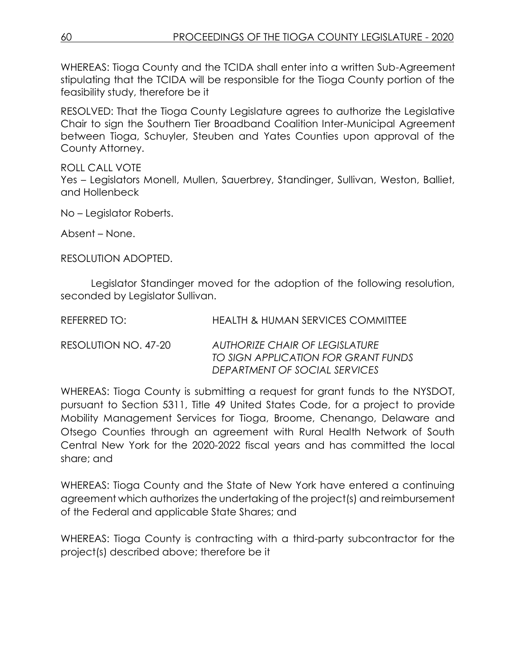WHEREAS: Tioga County and the TCIDA shall enter into a written Sub-Agreement stipulating that the TCIDA will be responsible for the Tioga County portion of the feasibility study, therefore be it

RESOLVED: That the Tioga County Legislature agrees to authorize the Legislative Chair to sign the Southern Tier Broadband Coalition Inter-Municipal Agreement between Tioga, Schuyler, Steuben and Yates Counties upon approval of the County Attorney.

ROLL CALL VOTE Yes – Legislators Monell, Mullen, Sauerbrey, Standinger, Sullivan, Weston, Balliet, and Hollenbeck

No – Legislator Roberts.

Absent – None.

RESOLUTION ADOPTED.

Legislator Standinger moved for the adoption of the following resolution, seconded by Legislator Sullivan.

| REFERRED TO:         | HEALTH & HUMAN SERVICES COMMITTEE                                                                      |
|----------------------|--------------------------------------------------------------------------------------------------------|
| RESOLUTION NO. 47-20 | AUTHORIZE CHAIR OF LEGISLATURE<br>TO SIGN APPLICATION FOR GRANT FUNDS<br>DEPARTMENT OF SOCIAL SERVICES |

WHEREAS: Tioga County is submitting a request for grant funds to the NYSDOT, pursuant to Section 5311, Title 49 United States Code, for a project to provide Mobility Management Services for Tioga, Broome, Chenango, Delaware and Otsego Counties through an agreement with Rural Health Network of South Central New York for the 2020-2022 fiscal years and has committed the local share; and

WHEREAS: Tioga County and the State of New York have entered a continuing agreement which authorizes the undertaking of the project(s) and reimbursement of the Federal and applicable State Shares; and

WHEREAS: Tioga County is contracting with a third-party subcontractor for the project(s) described above; therefore be it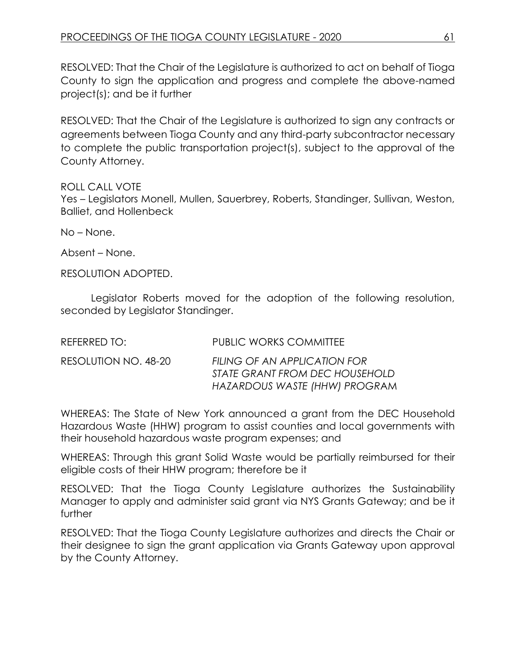RESOLVED: That the Chair of the Legislature is authorized to act on behalf of Tioga County to sign the application and progress and complete the above-named project(s); and be it further

RESOLVED: That the Chair of the Legislature is authorized to sign any contracts or agreements between Tioga County and any third-party subcontractor necessary to complete the public transportation project(s), subject to the approval of the County Attorney.

### ROLL CALL VOTE

Yes – Legislators Monell, Mullen, Sauerbrey, Roberts, Standinger, Sullivan, Weston, Balliet, and Hollenbeck

No – None.

Absent – None.

RESOLUTION ADOPTED.

Legislator Roberts moved for the adoption of the following resolution, seconded by Legislator Standinger.

| REFERRED TO:         | <b>PUBLIC WORKS COMMITTEE</b>                                                                   |
|----------------------|-------------------------------------------------------------------------------------------------|
| RESOLUTION NO. 48-20 | FILING OF AN APPLICATION FOR<br>STATE GRANT FROM DEC HOUSEHOLD<br>HAZARDOUS WASTE (HHW) PROGRAM |

WHEREAS: The State of New York announced a grant from the DEC Household Hazardous Waste (HHW) program to assist counties and local governments with their household hazardous waste program expenses; and

WHEREAS: Through this grant Solid Waste would be partially reimbursed for their eligible costs of their HHW program; therefore be it

RESOLVED: That the Tioga County Legislature authorizes the Sustainability Manager to apply and administer said grant via NYS Grants Gateway; and be it further

RESOLVED: That the Tioga County Legislature authorizes and directs the Chair or their designee to sign the grant application via Grants Gateway upon approval by the County Attorney.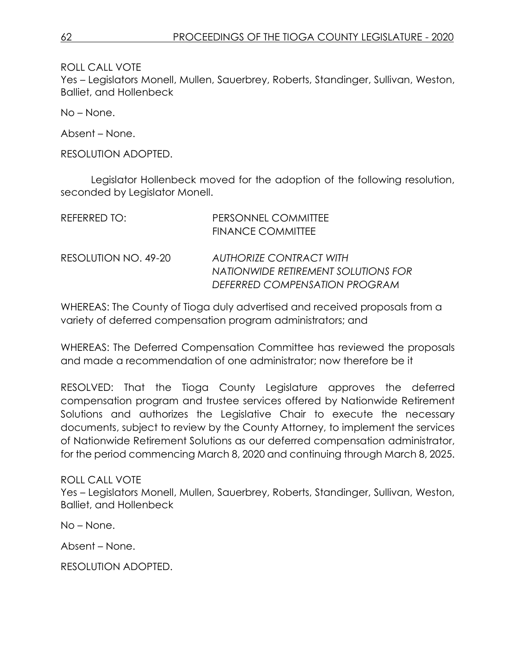ROLL CALL VOTE

Yes – Legislators Monell, Mullen, Sauerbrey, Roberts, Standinger, Sullivan, Weston, Balliet, and Hollenbeck

No – None.

Absent – None.

RESOLUTION ADOPTED.

Legislator Hollenbeck moved for the adoption of the following resolution, seconded by Legislator Monell.

| REFERRED TO:         | PERSONNEL COMMITTEE<br><b>FINANCE COMMITTEE</b>                                                        |
|----------------------|--------------------------------------------------------------------------------------------------------|
| RESOLUTION NO. 49-20 | <b>AUTHORIZE CONTRACT WITH</b><br>NATIONWIDE RETIREMENT SOLUTIONS FOR<br>DEFERRED COMPENSATION PROGRAM |

WHEREAS: The County of Tioga duly advertised and received proposals from a variety of deferred compensation program administrators; and

WHEREAS: The Deferred Compensation Committee has reviewed the proposals and made a recommendation of one administrator; now therefore be it

RESOLVED: That the Tioga County Legislature approves the deferred compensation program and trustee services offered by Nationwide Retirement Solutions and authorizes the Legislative Chair to execute the necessary documents, subject to review by the County Attorney, to implement the services of Nationwide Retirement Solutions as our deferred compensation administrator, for the period commencing March 8, 2020 and continuing through March 8, 2025.

ROLL CALL VOTE

Yes – Legislators Monell, Mullen, Sauerbrey, Roberts, Standinger, Sullivan, Weston, Balliet, and Hollenbeck

No – None.

Absent – None.

RESOLUTION ADOPTED.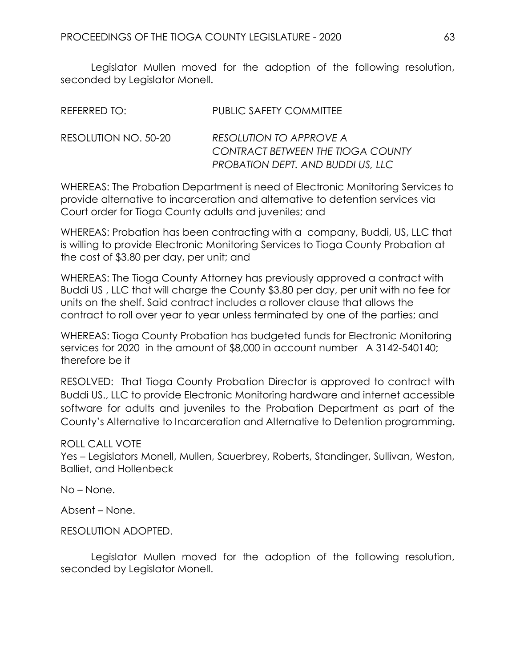Legislator Mullen moved for the adoption of the following resolution, seconded by Legislator Monell.

| REFERRED TO:         | <b>PUBLIC SAFETY COMMITTEE</b>                                                                           |
|----------------------|----------------------------------------------------------------------------------------------------------|
| RESOLUTION NO. 50-20 | RESOLUTION TO APPROVE A<br><b>CONTRACT BETWEEN THE TIOGA COUNTY</b><br>PROBATION DEPT. AND BUDDI US, LLC |

WHEREAS: The Probation Department is need of Electronic Monitoring Services to provide alternative to incarceration and alternative to detention services via Court order for Tioga County adults and juveniles; and

WHEREAS: Probation has been contracting with a company, Buddi, US, LLC that is willing to provide Electronic Monitoring Services to Tioga County Probation at the cost of \$3.80 per day, per unit; and

WHEREAS: The Tioga County Attorney has previously approved a contract with Buddi US , LLC that will charge the County \$3.80 per day, per unit with no fee for units on the shelf. Said contract includes a rollover clause that allows the contract to roll over year to year unless terminated by one of the parties; and

WHEREAS: Tioga County Probation has budgeted funds for Electronic Monitoring services for 2020 in the amount of \$8,000 in account number A 3142-540140; therefore be it

RESOLVED: That Tioga County Probation Director is approved to contract with Buddi US., LLC to provide Electronic Monitoring hardware and internet accessible software for adults and juveniles to the Probation Department as part of the County's Alternative to Incarceration and Alternative to Detention programming.

### ROLL CALL VOTE

Yes – Legislators Monell, Mullen, Sauerbrey, Roberts, Standinger, Sullivan, Weston, Balliet, and Hollenbeck

No – None.

Absent – None.

RESOLUTION ADOPTED.

Legislator Mullen moved for the adoption of the following resolution, seconded by Legislator Monell.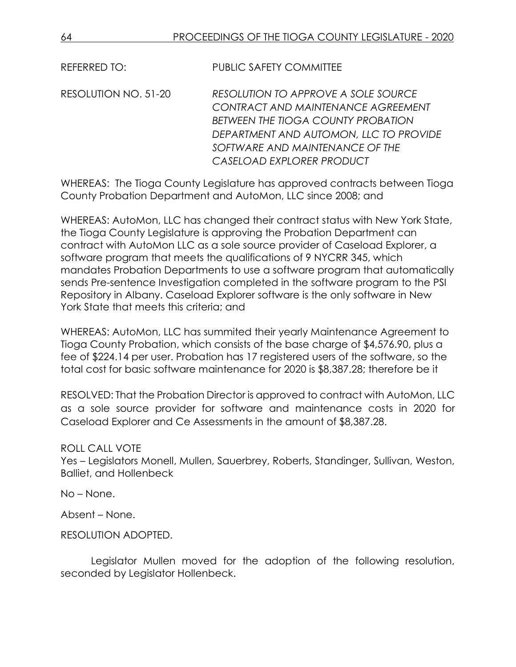REFERRED TO: PUBLIC SAFETY COMMITTEE

RESOLUTION NO. 51-20 *RESOLUTION TO APPROVE A SOLE SOURCE CONTRACT AND MAINTENANCE AGREEMENT BETWEEN THE TIOGA COUNTY PROBATION DEPARTMENT AND AUTOMON, LLC TO PROVIDE SOFTWARE AND MAINTENANCE OF THE CASELOAD EXPLORER PRODUCT*

WHEREAS: The Tioga County Legislature has approved contracts between Tioga County Probation Department and AutoMon, LLC since 2008; and

WHEREAS: AutoMon, LLC has changed their contract status with New York State, the Tioga County Legislature is approving the Probation Department can contract with AutoMon LLC as a sole source provider of Caseload Explorer, a software program that meets the qualifications of 9 NYCRR 345, which mandates Probation Departments to use a software program that automatically sends Pre-sentence Investigation completed in the software program to the PSI Repository in Albany. Caseload Explorer software is the only software in New York State that meets this criteria; and

WHEREAS: AutoMon, LLC has summited their yearly Maintenance Agreement to Tioga County Probation, which consists of the base charge of \$4,576.90, plus a fee of \$224.14 per user. Probation has 17 registered users of the software, so the total cost for basic software maintenance for 2020 is \$8,387.28; therefore be it

RESOLVED: That the Probation Director is approved to contract with AutoMon, LLC as a sole source provider for software and maintenance costs in 2020 for Caseload Explorer and Ce Assessments in the amount of \$8,387.28.

ROLL CALL VOTE Yes – Legislators Monell, Mullen, Sauerbrey, Roberts, Standinger, Sullivan, Weston, Balliet, and Hollenbeck

No – None.

Absent – None.

RESOLUTION ADOPTED.

Legislator Mullen moved for the adoption of the following resolution, seconded by Legislator Hollenbeck.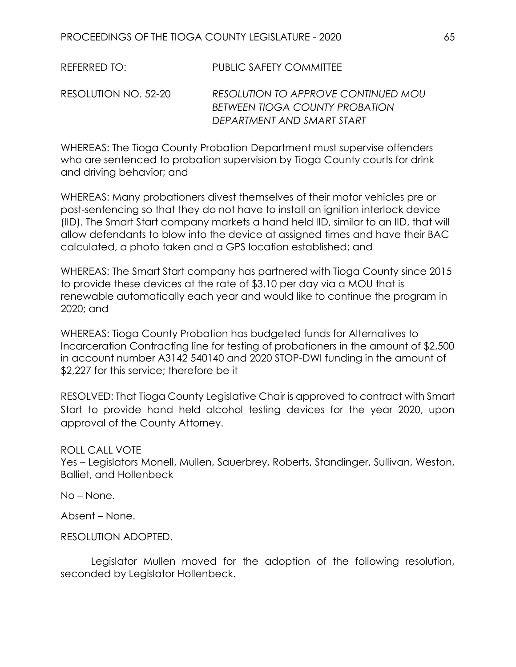REFERRED TO: PUBLIC SAFETY COMMITTEE

RESOLUTION NO. 52-20 *RESOLUTION TO APPROVE CONTINUED MOU BETWEEN TIOGA COUNTY PROBATION DEPARTMENT AND SMART START* 

WHEREAS: The Tioga County Probation Department must supervise offenders who are sentenced to probation supervision by Tioga County courts for drink and driving behavior; and

WHEREAS: Many probationers divest themselves of their motor vehicles pre or post-sentencing so that they do not have to install an ignition interlock device (IID). The Smart Start company markets a hand held IID, similar to an IID, that will allow defendants to blow into the device at assigned times and have their BAC calculated, a photo taken and a GPS location established; and

WHEREAS: The Smart Start company has partnered with Tioga County since 2015 to provide these devices at the rate of \$3.10 per day via a MOU that is renewable automatically each year and would like to continue the program in 2020; and

WHEREAS: Tioga County Probation has budgeted funds for Alternatives to Incarceration Contracting line for testing of probationers in the amount of \$2,500 in account number A3142 540140 and 2020 STOP-DWI funding in the amount of \$2,227 for this service; therefore be it

RESOLVED: That Tioga County Legislative Chair is approved to contract with Smart Start to provide hand held alcohol testing devices for the year 2020, upon approval of the County Attorney.

ROLL CALL VOTE

Yes – Legislators Monell, Mullen, Sauerbrey, Roberts, Standinger, Sullivan, Weston, Balliet, and Hollenbeck

No – None.

Absent – None.

RESOLUTION ADOPTED.

Legislator Mullen moved for the adoption of the following resolution, seconded by Legislator Hollenbeck.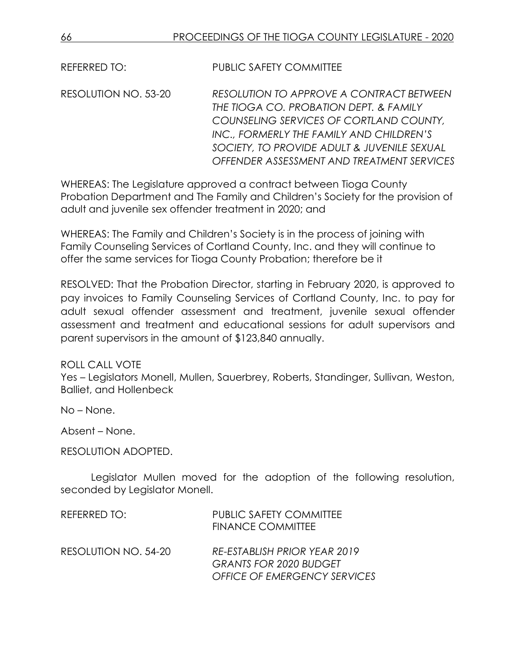REFERRED TO: PUBLIC SAFETY COMMITTEE

RESOLUTION NO. 53-20 *RESOLUTION TO APPROVE A CONTRACT BETWEEN THE TIOGA CO. PROBATION DEPT. & FAMILY COUNSELING SERVICES OF CORTLAND COUNTY, INC., FORMERLY THE FAMILY AND CHILDREN'S SOCIETY, TO PROVIDE ADULT & JUVENILE SEXUAL OFFENDER ASSESSMENT AND TREATMENT SERVICES*

WHEREAS: The Legislature approved a contract between Tioga County Probation Department and The Family and Children's Society for the provision of adult and juvenile sex offender treatment in 2020; and

WHEREAS: The Family and Children's Society is in the process of joining with Family Counseling Services of Cortland County, Inc. and they will continue to offer the same services for Tioga County Probation; therefore be it

RESOLVED: That the Probation Director, starting in February 2020, is approved to pay invoices to Family Counseling Services of Cortland County, Inc. to pay for adult sexual offender assessment and treatment, juvenile sexual offender assessment and treatment and educational sessions for adult supervisors and parent supervisors in the amount of \$123,840 annually.

ROLL CALL VOTE

Yes – Legislators Monell, Mullen, Sauerbrey, Roberts, Standinger, Sullivan, Weston, Balliet, and Hollenbeck

No – None.

Absent – None.

RESOLUTION ADOPTED.

Legislator Mullen moved for the adoption of the following resolution, seconded by Legislator Monell.

| REFERRED TO:         | <b>PUBLIC SAFETY COMMITTEE</b><br><b>FINANCE COMMITTEE</b>    |
|----------------------|---------------------------------------------------------------|
| RESOLUTION NO. 54-20 | RE-ESTABLISH PRIOR YEAR 2019<br><b>GRANTS FOR 2020 BUDGET</b> |
|                      | <b>OFFICE OF EMERGENCY SERVICES</b>                           |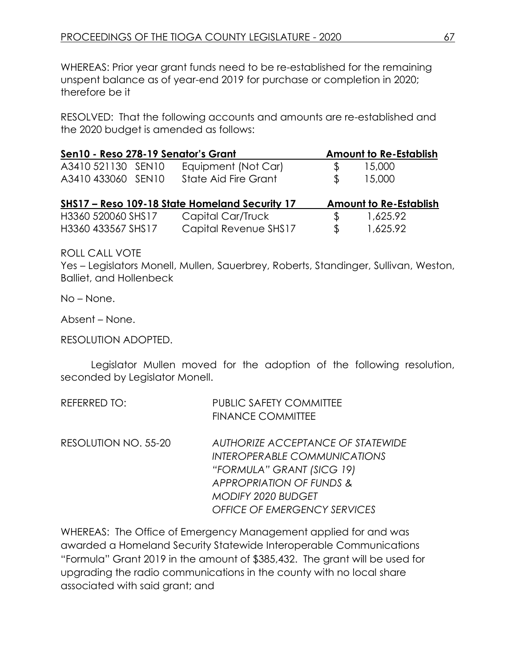WHEREAS: Prior year grant funds need to be re-established for the remaining unspent balance as of year-end 2019 for purchase or completion in 2020; therefore be it

RESOLVED: That the following accounts and amounts are re-established and the 2020 budget is amended as follows:

| Sen10 - Reso 278-19 Senator's Grant |                                                |                | <b>Amount to Re-Establish</b> |
|-------------------------------------|------------------------------------------------|----------------|-------------------------------|
| A3410 521130 SEN10                  | Equipment (Not Car)                            | S              | 15,000                        |
| A3410 433060 SEN10                  | <b>State Aid Fire Grant</b>                    | $\mathfrak{L}$ | 15,000                        |
|                                     | SHS17 - Reso 109-18 State Homeland Security 17 |                | <b>Amount to Re-Establish</b> |
| H3360 520060 SHS17                  | Capital Car/Truck                              | \$.            | 1,625.92                      |
| H3360 433567 SHS17                  | Capital Revenue SHS17                          | \$             | 1,625.92                      |

ROLL CALL VOTE

Yes – Legislators Monell, Mullen, Sauerbrey, Roberts, Standinger, Sullivan, Weston, Balliet, and Hollenbeck

No – None.

Absent – None.

RESOLUTION ADOPTED.

Legislator Mullen moved for the adoption of the following resolution, seconded by Legislator Monell.

| REFERRED TO:         | <b>PUBLIC SAFETY COMMITTEE</b><br><b>FINANCE COMMITTEE</b>                                                                        |
|----------------------|-----------------------------------------------------------------------------------------------------------------------------------|
| RESOLUTION NO. 55-20 | AUTHORIZE ACCEPTANCE OF STATEWIDE<br><b>INTEROPERABLE COMMUNICATIONS</b><br>"FORMULA" GRANT (SICG 19)<br>APPROPRIATION OF FUNDS & |
|                      | <b>MODIFY 2020 BUDGET</b>                                                                                                         |
|                      | <b>OFFICE OF EMERGENCY SERVICES</b>                                                                                               |

WHEREAS: The Office of Emergency Management applied for and was awarded a Homeland Security Statewide Interoperable Communications "Formula" Grant 2019 in the amount of \$385,432. The grant will be used for upgrading the radio communications in the county with no local share associated with said grant; and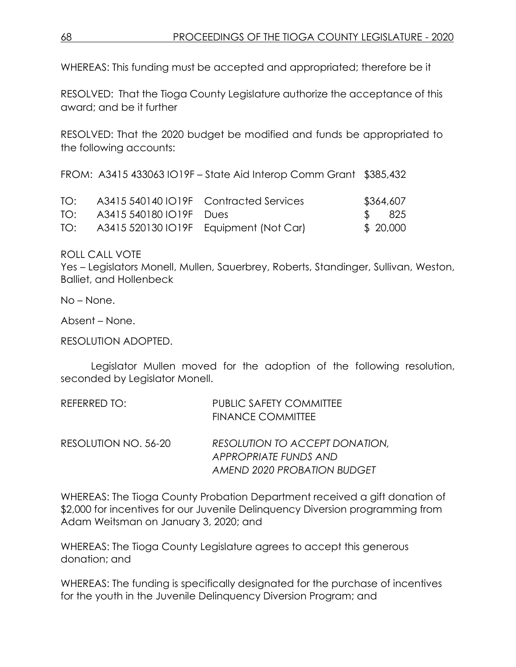WHEREAS: This funding must be accepted and appropriated; therefore be it

RESOLVED: That the Tioga County Legislature authorize the acceptance of this award; and be it further

RESOLVED: That the 2020 budget be modified and funds be appropriated to the following accounts:

FROM: A3415 433063 IO19F – State Aid Interop Comm Grant \$385,432

| TO: |                             | A3415 540140 IO19F Contracted Services     | \$364,607 |
|-----|-----------------------------|--------------------------------------------|-----------|
|     | TO: A3415 540180 IO19F Dues |                                            | \$ 825    |
|     |                             | TO: A3415 520130 IO19F Equipment (Not Car) | \$ 20,000 |

ROLL CALL VOTE

Yes – Legislators Monell, Mullen, Sauerbrey, Roberts, Standinger, Sullivan, Weston, Balliet, and Hollenbeck

No – None.

Absent – None.

RESOLUTION ADOPTED.

Legislator Mullen moved for the adoption of the following resolution, seconded by Legislator Monell.

| REFERRED TO:         | <b>PUBLIC SAFETY COMMITTEE</b><br><b>FINANCE COMMITTEE</b> |
|----------------------|------------------------------------------------------------|
| RESOLUTION NO. 56-20 | RESOLUTION TO ACCEPT DONATION,<br>APPROPRIATE FUNDS AND    |
|                      | AMEND 2020 PROBATION BUDGET                                |

WHEREAS: The Tioga County Probation Department received a gift donation of \$2,000 for incentives for our Juvenile Delinquency Diversion programming from Adam Weitsman on January 3, 2020; and

WHEREAS: The Tioga County Legislature agrees to accept this generous donation; and

WHEREAS: The funding is specifically designated for the purchase of incentives for the youth in the Juvenile Delinquency Diversion Program; and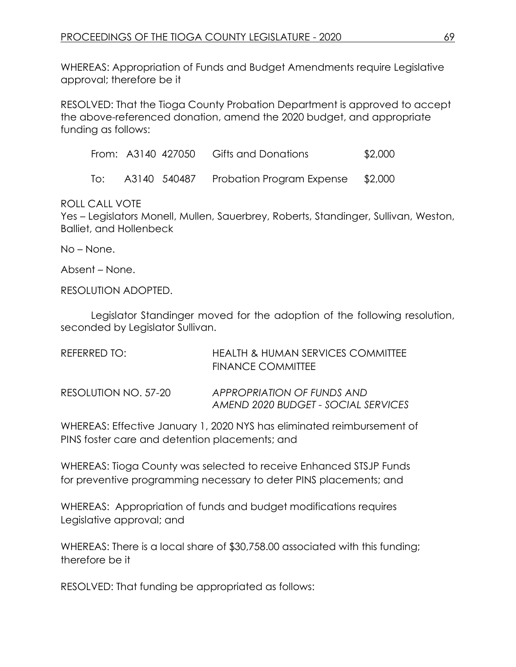WHEREAS: Appropriation of Funds and Budget Amendments require Legislative approval; therefore be it

RESOLVED: That the Tioga County Probation Department is approved to accept the above-referenced donation, amend the 2020 budget, and appropriate funding as follows:

|     |  | From: A3140 427050 Gifts and Donations | \$2,000 |
|-----|--|----------------------------------------|---------|
| To: |  | A3140 540487 Probation Program Expense | \$2,000 |

### ROLL CALL VOTE

Yes – Legislators Monell, Mullen, Sauerbrey, Roberts, Standinger, Sullivan, Weston, Balliet, and Hollenbeck

No – None.

Absent – None.

RESOLUTION ADOPTED.

Legislator Standinger moved for the adoption of the following resolution, seconded by Legislator Sullivan.

| RFFFRRFD TO:         | <b>HEALTH &amp; HUMAN SERVICES COMMITTEE</b><br><b>FINANCE COMMITTEE</b> |
|----------------------|--------------------------------------------------------------------------|
| RESOLUTION NO. 57-20 | APPROPRIATION OF FUNDS AND<br>AMEND 2020 BUDGET - SOCIAL SERVICES        |

WHEREAS: Effective January 1, 2020 NYS has eliminated reimbursement of PINS foster care and detention placements; and

WHEREAS: Tioga County was selected to receive Enhanced STSJP Funds for preventive programming necessary to deter PINS placements; and

WHEREAS: Appropriation of funds and budget modifications requires Legislative approval; and

WHEREAS: There is a local share of \$30,758.00 associated with this funding; therefore be it

RESOLVED: That funding be appropriated as follows: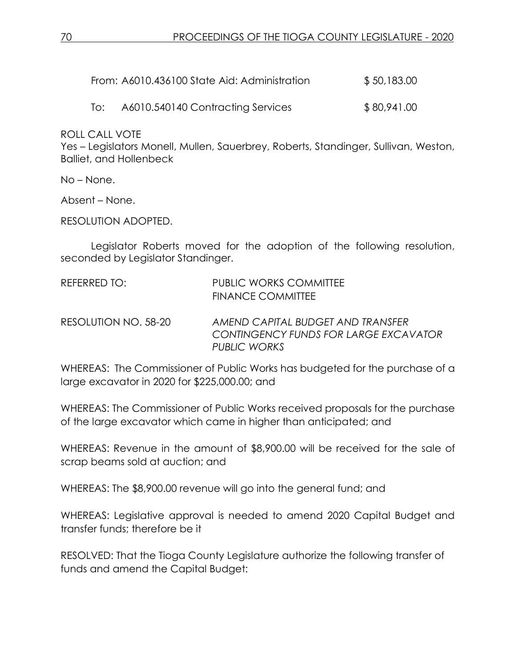| From: A6010.436100 State Aid: Administration | \$50,183.00 |
|----------------------------------------------|-------------|
|                                              |             |

To: A6010.540140 Contracting Services \$80,941.00

ROLL CALL VOTE

Yes – Legislators Monell, Mullen, Sauerbrey, Roberts, Standinger, Sullivan, Weston, Balliet, and Hollenbeck

No – None.

Absent – None.

RESOLUTION ADOPTED.

Legislator Roberts moved for the adoption of the following resolution, seconded by Legislator Standinger.

| REFERRED TO: | <b>PUBLIC WORKS COMMITTEE</b> |
|--------------|-------------------------------|
|              | <b>FINANCE COMMITTEE</b>      |

RESOLUTION NO. 58-20 *AMEND CAPITAL BUDGET AND TRANSFER CONTINGENCY FUNDS FOR LARGE EXCAVATOR PUBLIC WORKS*

WHEREAS: The Commissioner of Public Works has budgeted for the purchase of a large excavator in 2020 for \$225,000.00; and

WHEREAS: The Commissioner of Public Works received proposals for the purchase of the large excavator which came in higher than anticipated; and

WHEREAS: Revenue in the amount of \$8,900.00 will be received for the sale of scrap beams sold at auction; and

WHEREAS: The \$8,900.00 revenue will go into the general fund; and

WHEREAS: Legislative approval is needed to amend 2020 Capital Budget and transfer funds; therefore be it

RESOLVED: That the Tioga County Legislature authorize the following transfer of funds and amend the Capital Budget: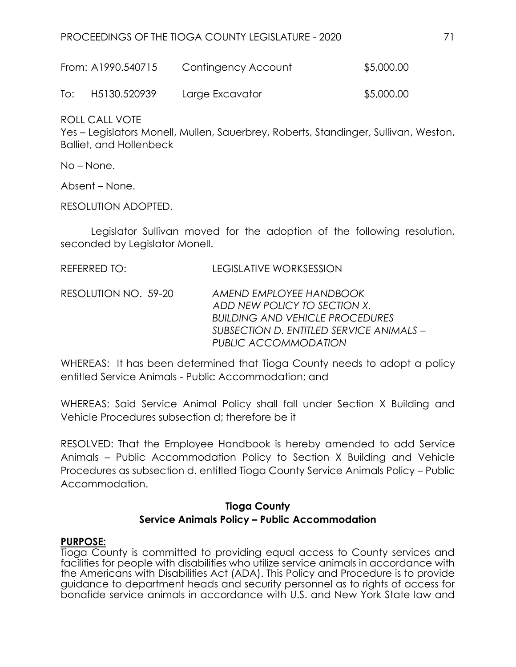| From: A1990.540715 | Contingency Account | \$5,000.00 |
|--------------------|---------------------|------------|
|                    |                     |            |

To: H5130.520939 Large Excavator \$5,000.00

ROLL CALL VOTE

Yes – Legislators Monell, Mullen, Sauerbrey, Roberts, Standinger, Sullivan, Weston, Balliet, and Hollenbeck

No – None.

Absent – None.

RESOLUTION ADOPTED.

Legislator Sullivan moved for the adoption of the following resolution, seconded by Legislator Monell.

RESOLUTION NO. 59-20 *AMEND EMPLOYEE HANDBOOK ADD NEW POLICY TO SECTION X. BUILDING AND VEHICLE PROCEDURES SUBSECTION D. ENTITLED SERVICE ANIMALS – PUBLIC ACCOMMODATION*

WHEREAS: It has been determined that Tioga County needs to adopt a policy entitled Service Animals - Public Accommodation; and

WHEREAS: Said Service Animal Policy shall fall under Section X Building and Vehicle Procedures subsection d; therefore be it

RESOLVED: That the Employee Handbook is hereby amended to add Service Animals – Public Accommodation Policy to Section X Building and Vehicle Procedures as subsection d. entitled Tioga County Service Animals Policy – Public Accommodation.

# **Tioga County Service Animals Policy – Public Accommodation**

### **PURPOSE:**

Tioga County is committed to providing equal access to County services and facilities for people with disabilities who utilize service animals in accordance with the Americans with Disabilities Act (ADA). This Policy and Procedure is to provide guidance to department heads and security personnel as to rights of access for bonafide service animals in accordance with U.S. and New York State law and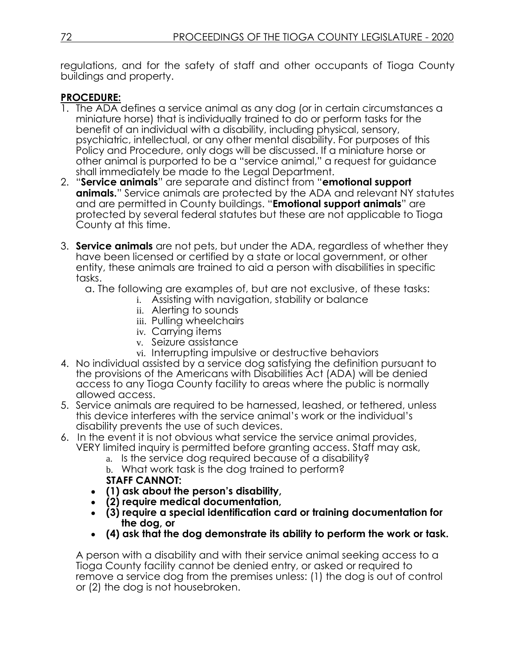regulations, and for the safety of staff and other occupants of Tioga County buildings and property.

### **PROCEDURE:**

- 1. The ADA defines a service animal as any dog (or in certain circumstances a miniature horse) that is individually trained to do or perform tasks for the benefit of an individual with a disability, including physical, sensory, psychiatric, intellectual, or any other mental disability. For purposes of this Policy and Procedure, only dogs will be discussed. If a miniature horse or other animal is purported to be a "service animal," a request for guidance shall immediately be made to the Legal Department.
- 2. "**Service animals**" are separate and distinct from "**emotional support animals.**" Service animals are protected by the ADA and relevant NY statutes and are permitted in County buildings. "**Emotional support animals**" are protected by several federal statutes but these are not applicable to Tioga County at this time.
- 3. **Service animals** are not pets, but under the ADA, regardless of whether they have been licensed or certified by a state or local government, or other entity, these animals are trained to aid a person with disabilities in specific tasks.
	- a. The following are examples of, but are not exclusive, of these tasks:
		- i. Assisting with navigation, stability or balance
			- ii. Alerting to sounds
			- iii. Pulling wheelchairs
			- iv. Carrying items
			- v. Seizure assistance
			- vi. Interrupting impulsive or destructive behaviors
- 4. No individual assisted by a service dog satisfying the definition pursuant to the provisions of the Americans with Disabilities Act (ADA) will be denied access to any Tioga County facility to areas where the public is normally allowed access.
- 5. Service animals are required to be harnessed, leashed, or tethered, unless this device interferes with the service animal's work or the individual's disability prevents the use of such devices.
- 6. In the event it is not obvious what service the service animal provides, VERY limited inquiry is permitted before granting access. Staff may ask,
	- a. Is the service dog required because of a disability?
	- b. What work task is the dog trained to perform?
	- **STAFF CANNOT:**
	- **(1) ask about the person's disability,**
	- **(2) require medical documentation,**
	- **(3) require a special identification card or training documentation for the dog, or**
	- **(4) ask that the dog demonstrate its ability to perform the work or task.**

A person with a disability and with their service animal seeking access to a Tioga County facility cannot be denied entry, or asked or required to remove a service dog from the premises unless: (1) the dog is out of control or (2) the dog is not housebroken.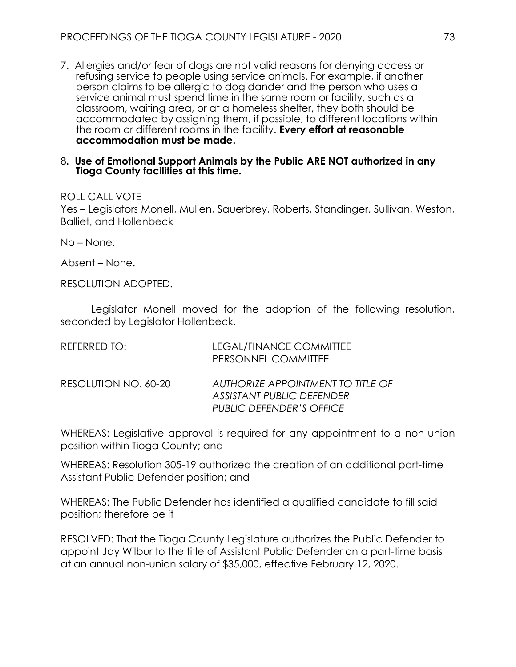7.Allergies and/or fear of dogs are not valid reasons for denying access or refusing service to people using service animals. For example, if another person claims to be allergic to dog dander and the person who uses a service animal must spend time in the same room or facility, such as a classroom, waiting area, or at a homeless shelter, they both should be accommodated by assigning them, if possible, to different locations within the room or different rooms in the facility. **Every effort at reasonable accommodation must be made.**

#### 8**. Use of Emotional Support Animals by the Public ARE NOT authorized in any Tioga County facilities at this time.**

### ROLL CALL VOTE

Yes – Legislators Monell, Mullen, Sauerbrey, Roberts, Standinger, Sullivan, Weston, Balliet, and Hollenbeck

No – None.

Absent – None.

RESOLUTION ADOPTED.

Legislator Monell moved for the adoption of the following resolution, seconded by Legislator Hollenbeck.

| REFERRED TO:         | LEGAL/FINANCE COMMITTEE<br>PERSONNEL COMMITTEE                                                           |
|----------------------|----------------------------------------------------------------------------------------------------------|
| RESOLUTION NO. 60-20 | AUTHORIZE APPOINTMENT TO TITLE OF<br><b>ASSISTANT PUBLIC DEFENDER</b><br><b>PUBLIC DEFENDER'S OFFICE</b> |

WHEREAS: Legislative approval is required for any appointment to a non-union position within Tioga County; and

WHEREAS: Resolution 305-19 authorized the creation of an additional part-time Assistant Public Defender position; and

WHEREAS: The Public Defender has identified a qualified candidate to fill said position; therefore be it

RESOLVED: That the Tioga County Legislature authorizes the Public Defender to appoint Jay Wilbur to the title of Assistant Public Defender on a part-time basis at an annual non-union salary of \$35,000, effective February 12, 2020.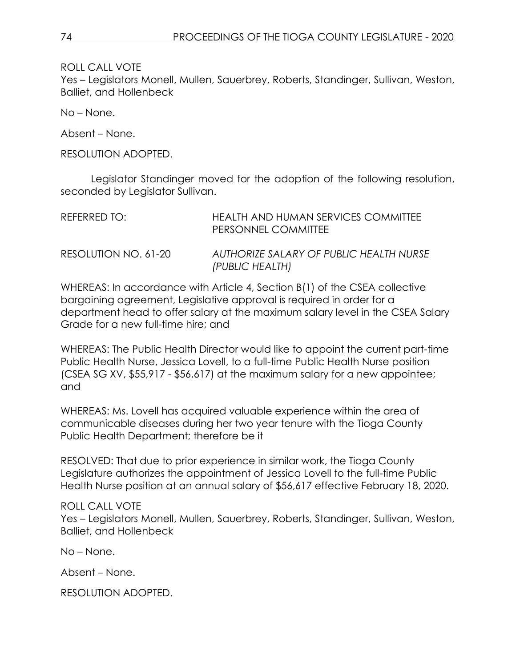ROLL CALL VOTE

Yes – Legislators Monell, Mullen, Sauerbrey, Roberts, Standinger, Sullivan, Weston, Balliet, and Hollenbeck

No – None.

Absent – None.

RESOLUTION ADOPTED.

Legislator Standinger moved for the adoption of the following resolution, seconded by Legislator Sullivan.

| REFERRED TO:         | HEALTH AND HUMAN SERVICES COMMITTEE<br>PERSONNEL COMMITTEE |
|----------------------|------------------------------------------------------------|
| RESOLUTION NO. 61-20 | AUTHORIZE SALARY OF PUBLIC HEALTH NURSE<br>(PUBLIC HEALTH) |

WHEREAS: In accordance with Article 4, Section B(1) of the CSEA collective bargaining agreement, Legislative approval is required in order for a department head to offer salary at the maximum salary level in the CSEA Salary Grade for a new full-time hire; and

WHEREAS: The Public Health Director would like to appoint the current part-time Public Health Nurse, Jessica Lovell, to a full-time Public Health Nurse position (CSEA SG XV, \$55,917 - \$56,617) at the maximum salary for a new appointee; and

WHEREAS: Ms. Lovell has acquired valuable experience within the area of communicable diseases during her two year tenure with the Tioga County Public Health Department; therefore be it

RESOLVED: That due to prior experience in similar work, the Tioga County Legislature authorizes the appointment of Jessica Lovell to the full-time Public Health Nurse position at an annual salary of \$56,617 effective February 18, 2020.

### ROLL CALL VOTE

Yes – Legislators Monell, Mullen, Sauerbrey, Roberts, Standinger, Sullivan, Weston, Balliet, and Hollenbeck

No – None.

Absent – None.

RESOLUTION ADOPTED.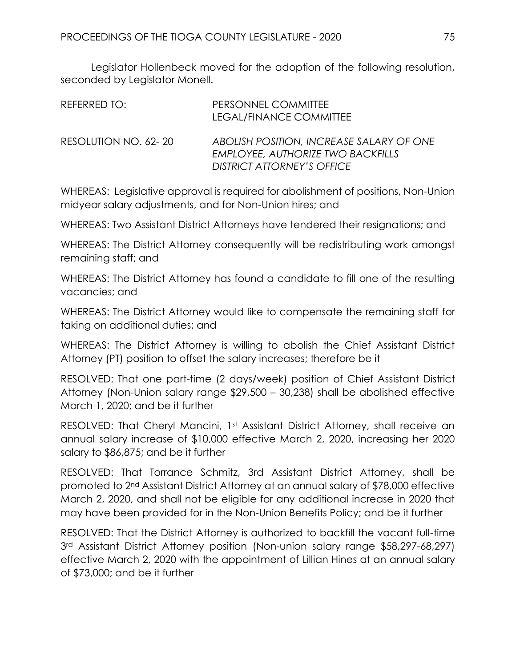Legislator Hollenbeck moved for the adoption of the following resolution, seconded by Legislator Monell.

| REFERRED TO:         | PERSONNEL COMMITTEE<br>LEGAL/FINANCE COMMITTEE                                                              |
|----------------------|-------------------------------------------------------------------------------------------------------------|
| RESOLUTION NO. 62-20 | ABOLISH POSITION, INCREASE SALARY OF ONE<br>EMPLOYEE, AUTHORIZE TWO BACKFILLS<br>DISTRICT ATTORNEY'S OFFICE |

WHEREAS: Legislative approval is required for abolishment of positions, Non-Union midyear salary adjustments, and for Non-Union hires; and

WHEREAS: Two Assistant District Attorneys have tendered their resignations; and

WHEREAS: The District Attorney consequently will be redistributing work amongst remaining staff; and

WHEREAS: The District Attorney has found a candidate to fill one of the resulting vacancies; and

WHEREAS: The District Attorney would like to compensate the remaining staff for taking on additional duties; and

WHEREAS: The District Attorney is willing to abolish the Chief Assistant District Attorney (PT) position to offset the salary increases; therefore be it

RESOLVED: That one part-time (2 days/week) position of Chief Assistant District Attorney (Non-Union salary range \$29,500 – 30,238) shall be abolished effective March 1, 2020; and be it further

RESOLVED: That Cheryl Mancini, 1st Assistant District Attorney, shall receive an annual salary increase of \$10,000 effective March 2, 2020, increasing her 2020 salary to \$86,875; and be it further

RESOLVED: That Torrance Schmitz, 3rd Assistant District Attorney, shall be promoted to 2nd Assistant District Attorney at an annual salary of \$78,000 effective March 2, 2020, and shall not be eligible for any additional increase in 2020 that may have been provided for in the Non-Union Benefits Policy; and be it further

RESOLVED: That the District Attorney is authorized to backfill the vacant full-time 3rd Assistant District Attorney position (Non-union salary range \$58,297-68,297) effective March 2, 2020 with the appointment of Lillian Hines at an annual salary of \$73,000; and be it further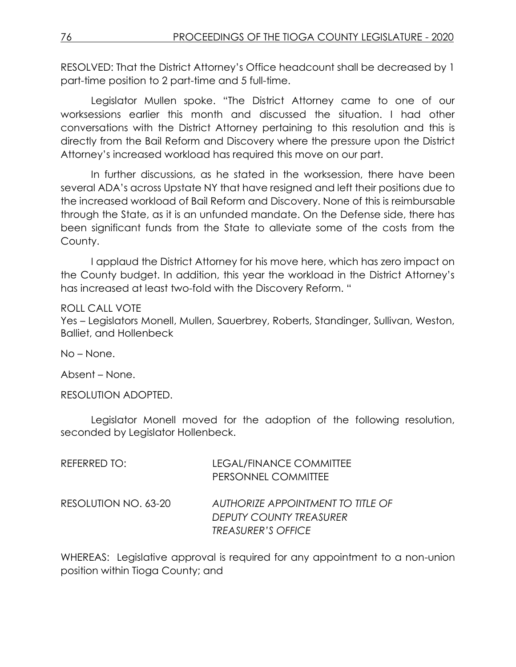RESOLVED: That the District Attorney's Office headcount shall be decreased by 1 part-time position to 2 part-time and 5 full-time.

Legislator Mullen spoke. "The District Attorney came to one of our worksessions earlier this month and discussed the situation. I had other conversations with the District Attorney pertaining to this resolution and this is directly from the Bail Reform and Discovery where the pressure upon the District Attorney's increased workload has required this move on our part.

In further discussions, as he stated in the worksession, there have been several ADA's across Upstate NY that have resigned and left their positions due to the increased workload of Bail Reform and Discovery. None of this is reimbursable through the State, as it is an unfunded mandate. On the Defense side, there has been significant funds from the State to alleviate some of the costs from the County.

I applaud the District Attorney for his move here, which has zero impact on the County budget. In addition, this year the workload in the District Attorney's has increased at least two-fold with the Discovery Reform. "

### ROLL CALL VOTE

Yes – Legislators Monell, Mullen, Sauerbrey, Roberts, Standinger, Sullivan, Weston, Balliet, and Hollenbeck

No – None.

Absent – None.

RESOLUTION ADOPTED.

Legislator Monell moved for the adoption of the following resolution, seconded by Legislator Hollenbeck.

| REFERRED TO:         | LEGAL/FINANCE COMMITTEE<br>PERSONNEL COMMITTEE                                                   |
|----------------------|--------------------------------------------------------------------------------------------------|
| RESOLUTION NO. 63-20 | AUTHORIZE APPOINTMENT TO TITLE OF<br><b>DEPUTY COUNTY TREASURER</b><br><b>TREASURER'S OFFICE</b> |

WHEREAS: Legislative approval is required for any appointment to a non-union position within Tioga County; and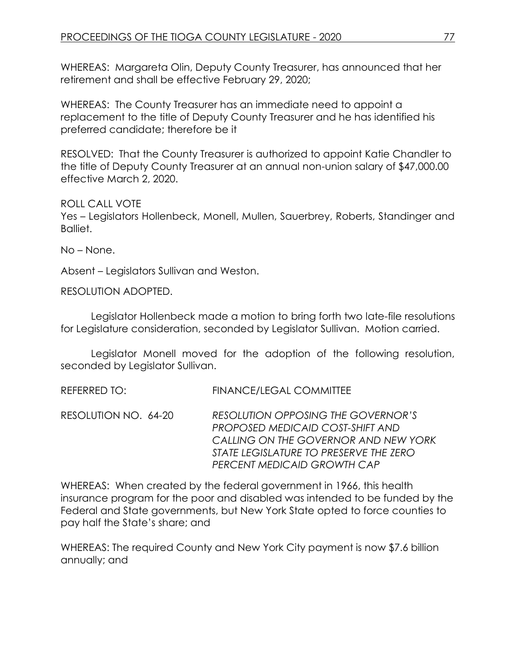WHEREAS: Margareta Olin, Deputy County Treasurer, has announced that her retirement and shall be effective February 29, 2020;

WHEREAS: The County Treasurer has an immediate need to appoint a replacement to the title of Deputy County Treasurer and he has identified his preferred candidate; therefore be it

RESOLVED: That the County Treasurer is authorized to appoint Katie Chandler to the title of Deputy County Treasurer at an annual non-union salary of \$47,000.00 effective March 2, 2020.

ROLL CALL VOTE

Yes – Legislators Hollenbeck, Monell, Mullen, Sauerbrey, Roberts, Standinger and Balliet.

No – None.

Absent – Legislators Sullivan and Weston.

RESOLUTION ADOPTED.

Legislator Hollenbeck made a motion to bring forth two late-file resolutions for Legislature consideration, seconded by Legislator Sullivan. Motion carried.

Legislator Monell moved for the adoption of the following resolution, seconded by Legislator Sullivan.

REFERRED TO: FINANCE/LEGAL COMMITTEE

RESOLUTION NO. 64-20 *RESOLUTION OPPOSING THE GOVERNOR'S PROPOSED MEDICAID COST-SHIFT AND CALLING ON THE GOVERNOR AND NEW YORK STATE LEGISLATURE TO PRESERVE THE ZERO PERCENT MEDICAID GROWTH CAP*

WHEREAS: When created by the federal government in 1966, this health insurance program for the poor and disabled was intended to be funded by the Federal and State governments, but New York State opted to force counties to pay half the State's share; and

WHEREAS: The required County and New York City payment is now \$7.6 billion annually; and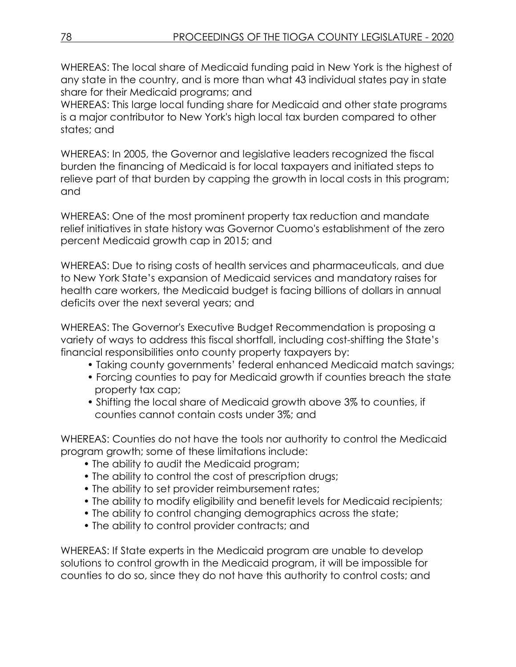WHEREAS: The local share of Medicaid funding paid in New York is the highest of any state in the country, and is more than what 43 individual states pay in state share for their Medicaid programs; and

WHEREAS: This large local funding share for Medicaid and other state programs is a major contributor to New York's high local tax burden compared to other states; and

WHEREAS: In 2005, the Governor and legislative leaders recognized the fiscal burden the financing of Medicaid is for local taxpayers and initiated steps to relieve part of that burden by capping the growth in local costs in this program; and

WHEREAS: One of the most prominent property tax reduction and mandate relief initiatives in state history was Governor Cuomo's establishment of the zero percent Medicaid growth cap in 2015; and

WHEREAS: Due to rising costs of health services and pharmaceuticals, and due to New York State's expansion of Medicaid services and mandatory raises for health care workers, the Medicaid budget is facing billions of dollars in annual deficits over the next several years; and

WHEREAS: The Governor's Executive Budget Recommendation is proposing a variety of ways to address this fiscal shortfall, including cost-shifting the State's financial responsibilities onto county property taxpayers by:

- Taking county governments' federal enhanced Medicaid match savings;
- Forcing counties to pay for Medicaid growth if counties breach the state property tax cap;
- Shifting the local share of Medicaid growth above 3% to counties, if counties cannot contain costs under 3%; and

WHEREAS: Counties do not have the tools nor authority to control the Medicaid program growth; some of these limitations include:

- The ability to audit the Medicaid program;
- The ability to control the cost of prescription drugs;
- The ability to set provider reimbursement rates;
- The ability to modify eligibility and benefit levels for Medicaid recipients;
- The ability to control changing demographics across the state;
- The ability to control provider contracts; and

WHEREAS: If State experts in the Medicaid program are unable to develop solutions to control growth in the Medicaid program, it will be impossible for counties to do so, since they do not have this authority to control costs; and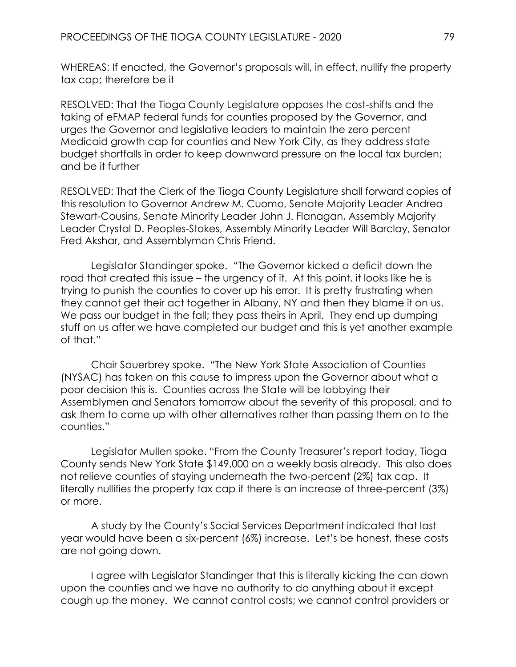WHEREAS: If enacted, the Governor's proposals will, in effect, nullify the property tax cap; therefore be it

RESOLVED: That the Tioga County Legislature opposes the cost-shifts and the taking of eFMAP federal funds for counties proposed by the Governor, and urges the Governor and legislative leaders to maintain the zero percent Medicaid growth cap for counties and New York City, as they address state budget shortfalls in order to keep downward pressure on the local tax burden; and be it further

RESOLVED: That the Clerk of the Tioga County Legislature shall forward copies of this resolution to Governor Andrew M. Cuomo, Senate Majority Leader Andrea Stewart-Cousins, Senate Minority Leader John J. Flanagan, Assembly Majority Leader Crystal D. Peoples-Stokes, Assembly Minority Leader Will Barclay, Senator Fred Akshar, and Assemblyman Chris Friend.

Legislator Standinger spoke. "The Governor kicked a deficit down the road that created this issue – the urgency of it. At this point, it looks like he is trying to punish the counties to cover up his error. It is pretty frustrating when they cannot get their act together in Albany, NY and then they blame it on us. We pass our budget in the fall; they pass theirs in April. They end up dumping stuff on us after we have completed our budget and this is yet another example of that."

Chair Sauerbrey spoke. "The New York State Association of Counties (NYSAC) has taken on this cause to impress upon the Governor about what a poor decision this is. Counties across the State will be lobbying their Assemblymen and Senators tomorrow about the severity of this proposal, and to ask them to come up with other alternatives rather than passing them on to the counties."

Legislator Mullen spoke. "From the County Treasurer's report today, Tioga County sends New York State \$149,000 on a weekly basis already. This also does not relieve counties of staying underneath the two-percent (2%) tax cap. It literally nullifies the property tax cap if there is an increase of three-percent (3%) or more.

A study by the County's Social Services Department indicated that last year would have been a six-percent (6%) increase. Let's be honest, these costs are not going down.

I agree with Legislator Standinger that this is literally kicking the can down upon the counties and we have no authority to do anything about it except cough up the money. We cannot control costs; we cannot control providers or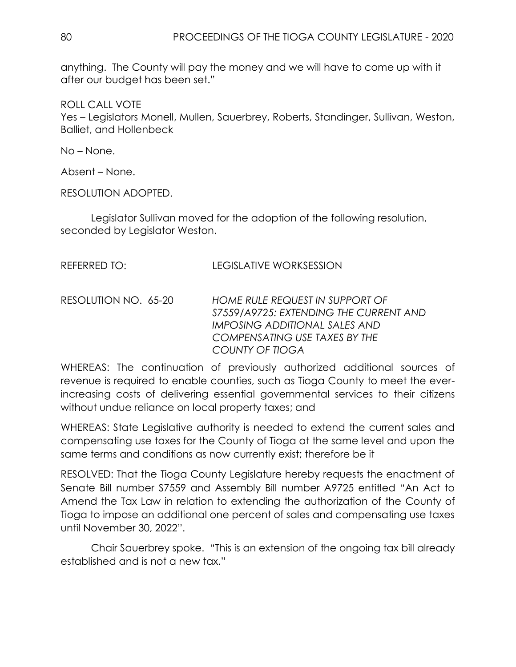anything. The County will pay the money and we will have to come up with it after our budget has been set."

ROLL CALL VOTE

Yes – Legislators Monell, Mullen, Sauerbrey, Roberts, Standinger, Sullivan, Weston, Balliet, and Hollenbeck

No – None.

Absent – None.

RESOLUTION ADOPTED.

Legislator Sullivan moved for the adoption of the following resolution, seconded by Legislator Weston.

| REFERRED TO: | <b>LEGISLATIVE WORKSESSION</b> |
|--------------|--------------------------------|
|              |                                |

RESOLUTION NO. 65-20 *HOME RULE REQUEST IN SUPPORT OF S7559/A9725: EXTENDING THE CURRENT AND IMPOSING ADDITIONAL SALES AND COMPENSATING USE TAXES BY THE COUNTY OF TIOGA*

WHEREAS: The continuation of previously authorized additional sources of revenue is required to enable counties, such as Tioga County to meet the everincreasing costs of delivering essential governmental services to their citizens without undue reliance on local property taxes; and

WHEREAS: State Legislative authority is needed to extend the current sales and compensating use taxes for the County of Tioga at the same level and upon the same terms and conditions as now currently exist; therefore be it

RESOLVED: That the Tioga County Legislature hereby requests the enactment of Senate Bill number S7559 and Assembly Bill number A9725 entitled "An Act to Amend the Tax Law in relation to extending the authorization of the County of Tioga to impose an additional one percent of sales and compensating use taxes until November 30, 2022".

Chair Sauerbrey spoke. "This is an extension of the ongoing tax bill already established and is not a new tax."